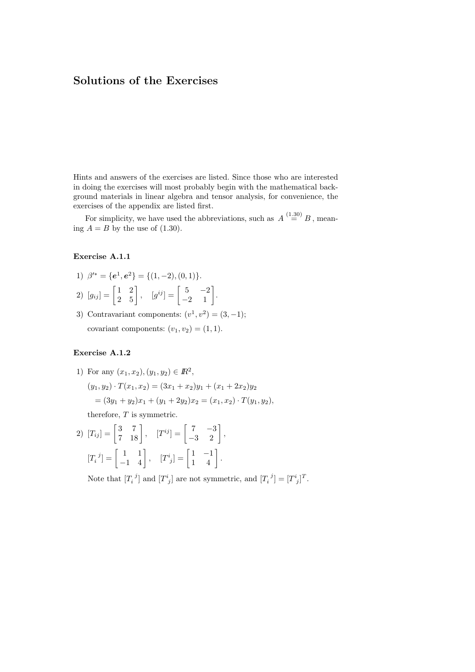Hints and answers of the exercises are listed. Since those who are interested in doing the exercises will most probably begin with the mathematical background materials in linear algebra and tensor analysis, for convenience, the exercises of the appendix are listed first.

For simplicity, we have used the abbreviations, such as  $A \stackrel{(1.30)}{=} B$ , meaning  $A = B$  by the use of (1.30).

### Exercise A.1.1

- 1)  $\beta'^* = \{e^1, e^2\} = \{(1, -2), (0, 1)\}.$
- 2)  $[g_{ij}] = \begin{bmatrix} 1 & 2 \\ 2 & 5 \end{bmatrix}$  $\begin{bmatrix} 1 & 2 \\ 2 & 5 \end{bmatrix}$ ,  $[g^{ij}] = \begin{bmatrix} 5 & -2 \\ -2 & 1 \end{bmatrix}$  $\begin{bmatrix} 5 & -2 \\ -2 & 1 \end{bmatrix}.$
- 3) Contravariant components:  $(v^1, v^2) = (3, -1);$ covariant components:  $(v_1, v_2) = (1, 1)$ .

### Exercise A.1.2

1) For any  $(x_1, x_2), (y_1, y_2) \in \mathbb{R}^2$ ,  $(y_1, y_2) \cdot T(x_1, x_2) = (3x_1 + x_2)y_1 + (x_1 + 2x_2)y_2$  $=(3y_1+y_2)x_1+(y_1+2y_2)x_2=(x_1,x_2)\cdot T(y_1,y_2),$ therefore,  $T$  is symmetric.

2) 
$$
[T_{ij}] = \begin{bmatrix} 3 & 7 \\ 7 & 18 \end{bmatrix}
$$
,  $[T^{ij}] = \begin{bmatrix} 7 & -3 \\ -3 & 2 \end{bmatrix}$ ,  
 $[T_i^j] = \begin{bmatrix} 1 & 1 \\ -1 & 4 \end{bmatrix}$ ,  $[T^i{}_j] = \begin{bmatrix} 1 & -1 \\ 1 & 4 \end{bmatrix}$ .

Note that  $[T_i^{\ j}]$  and  $[T^i_j]$  are not symmetric, and  $[T_i^{\ j}] = [T^i_j]^T$ .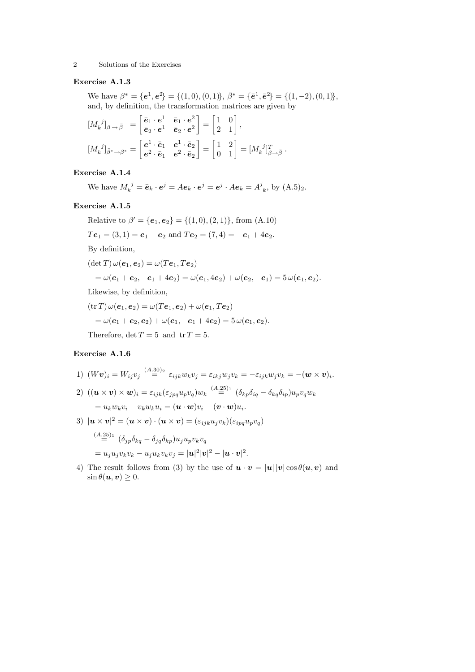# Exercise A.1.3

We have  $\beta^* = {\bf{e}}^1, {\bf{e}}^2 = \{(1,0), (0,1)\}, \bar{\beta}^* = {\bf{\bar e}}^1, {\bf{\bar e}}^2 = \{(1,-2), (0,1)\},\$ and, by definition, the transformation matrices are given by

$$
\begin{aligned}\n[M_k^{\ j}]_{\beta \to \bar{\beta}} &= \begin{bmatrix} \bar{e}_1 \cdot e^1 & \bar{e}_1 \cdot e^2 \\ \bar{e}_2 \cdot e^1 & \bar{e}_2 \cdot e^2 \end{bmatrix} = \begin{bmatrix} 1 & 0 \\ 2 & 1 \end{bmatrix}, \\
[M_k^{\ j}]_{\bar{\beta}^* \to \beta^*} &= \begin{bmatrix} e^1 \cdot \bar{e}_1 & e^1 \cdot \bar{e}_2 \\ e^2 \cdot \bar{e}_1 & e^2 \cdot \bar{e}_2 \end{bmatrix} = \begin{bmatrix} 1 & 2 \\ 0 & 1 \end{bmatrix} = [M_k^{\ j}]_{\beta \to \bar{\beta}}^T.\n\end{aligned}
$$

### Exercise A.1.4

We have  $M_k^{\ j} = \bar{e}_k \cdot e^j = Ae_k \cdot e^j = e^j \cdot Ae_k = A^j_{\ k}$ , by  $(A.5)_2$ .

### Exercise A.1.5

Relative to  $\beta' = \{e_1, e_2\} = \{(1, 0), (2, 1)\}$ , from  $(A.10)$  $Te_1 = (3, 1) = e_1 + e_2$  and  $Te_2 = (7, 4) = -e_1 + 4e_2$ . By definition,  $(\det T) \omega(e_1, e_2) = \omega(Te_1, Te_2)$  $=\omega(e_1+e_2,-e_1+4e_2)=\omega(e_1,4e_2)+\omega(e_2,-e_1)=5\,\omega(e_1,e_2).$ Likewise, by definition,  $(\text{tr } T) \omega(e_1, e_2) = \omega(Te_1, e_2) + \omega(e_1, Te_2)$  $=\omega(e_1+e_2,e_2)+\omega(e_1,-e_1+4e_2)=5\,\omega(e_1,e_2).$ 

# Therefore,  $\det T = 5$  and  $\operatorname{tr} T = 5$ .

### Exercise A.1.6

1) 
$$
(Wv)_i = W_{ij}v_j \stackrel{(A.30)_2}{=} \varepsilon_{ijk}w_kv_j = \varepsilon_{ikj}w_jv_k = -\varepsilon_{ijk}w_jv_k = -(\mathbf{w} \times \mathbf{v})_i.
$$

 $(2) \ \ ((\boldsymbol{u}\times \boldsymbol{v})\times \boldsymbol{w})_i=\varepsilon_{ijk}(\varepsilon_{jpq}u_pv_q)w_k\stackrel{(A.25)_1}{=} (\delta_{kp}\delta_{iq}-\delta_{kq}\delta_{ip})u_pv_qw_k$  $= u_k w_k v_i - v_k w_k u_i = (\boldsymbol{u} \cdot \boldsymbol{w}) v_i - (\boldsymbol{v} \cdot \boldsymbol{w}) u_i.$ 

3) 
$$
|\mathbf{u} \times \mathbf{v}|^2 = (\mathbf{u} \times \mathbf{v}) \cdot (\mathbf{u} \times \mathbf{v}) = (\varepsilon_{ijk} u_j v_k)(\varepsilon_{ipq} u_p v_q)
$$
  
\n
$$
\stackrel{(A.25)}{=} (\delta_{jp} \delta_{kq} - \delta_{jq} \delta_{kp}) u_j u_p v_k v_q
$$
\n
$$
= u_j u_j v_k v_k - u_j u_k v_k v_j = |\mathbf{u}|^2 |\mathbf{v}|^2 - |\mathbf{u} \cdot \mathbf{v}|^2.
$$

4) The result follows from (3) by the use of  $u \cdot v = |u||v|\cos\theta(u, v)$  and  $\sin \theta(\boldsymbol{u}, \boldsymbol{v}) \geq 0.$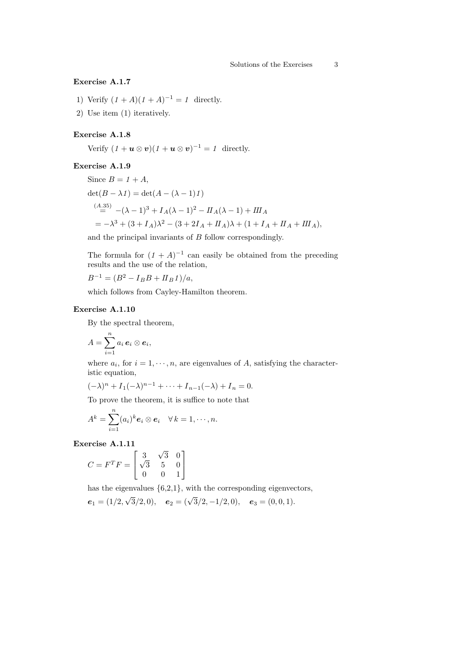# Exercise A.1.7

- 1) Verify  $(1 + A)(1 + A)^{-1} = 1$  directly.
- 2) Use item (1) iteratively.

# Exercise A.1.8

Verify  $(1 + u \otimes v)(1 + u \otimes v)^{-1} = 1$  directly.

### Exercise A.1.9

Since  $B = 1 + A$ ,  $\det(B - \lambda I) = \det(A - (\lambda - 1)I)$  $\sum_{n=0}^{(A.35)}$   $-(\lambda - 1)^3 + I_A(\lambda - 1)^2 - II_A(\lambda - 1) + III_A$  $= -\lambda^3 + (3 + I_A)\lambda^2 - (3 + 2I_A + II_A)\lambda + (1 + I_A + II_A + III_A),$ 

and the principal invariants of  $B$  follow correspondingly.

The formula for  $(1 + A)^{-1}$  can easily be obtained from the preceding results and the use of the relation,

$$
B^{-1} = (B^2 - I_B B + II_B I)/a,
$$

which follows from Cayley-Hamilton theorem.

### Exercise A.1.10

By the spectral theorem,

$$
A=\sum_{i=1}^n a_i\,\boldsymbol{e}_i\otimes \boldsymbol{e}_i,
$$

where  $a_i$ , for  $i = 1, \dots, n$ , are eigenvalues of A, satisfying the characteristic equation,

$$
(-\lambda)^n + I_1(-\lambda)^{n-1} + \dots + I_{n-1}(-\lambda) + I_n = 0.
$$

To prove the theorem, it is suffice to note that

$$
A^k = \sum_{i=1}^n (a_i)^k \mathbf{e}_i \otimes \mathbf{e}_i \quad \forall \, k = 1, \cdots, n.
$$

Exercise A.1.11

$$
C = FTF = \begin{bmatrix} 3 & \sqrt{3} & 0 \\ \sqrt{3} & 5 & 0 \\ 0 & 0 & 1 \end{bmatrix}
$$

has the eigenvalues  $\{6,2,1\}$ , with the corresponding eigenvectors, √

$$
e_1 = (1/2, \sqrt{3}/2, 0), \quad e_2 = (\sqrt{3}/2, -1/2, 0), \quad e_3 = (0, 0, 1).
$$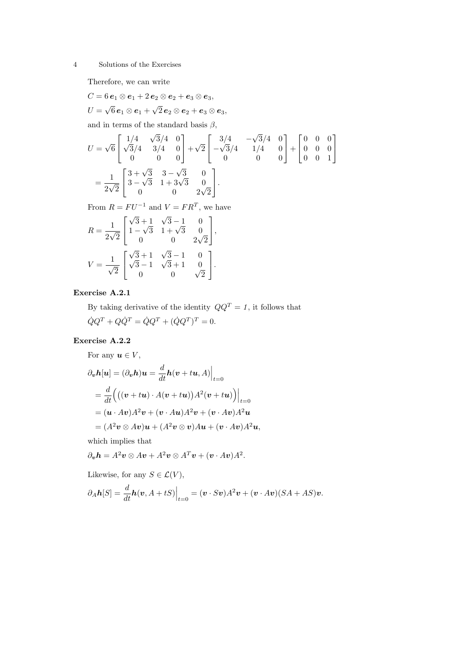Therefore, we can write

$$
C=6\,\boldsymbol{e}_1\otimes \boldsymbol{e}_1+2\,\boldsymbol{e}_2\otimes \boldsymbol{e}_2+\boldsymbol{e}_3\otimes \boldsymbol{e}_3,
$$

 $U =$  $6\,\pmb{e}_{1} \otimes \pmb{e}_{1} +$  $2\,\boldsymbol{e}_2\otimes \boldsymbol{e}_2 + \boldsymbol{e}_3\otimes \boldsymbol{e}_3,$ 

and in terms of the standard basis  $\beta$ ,

$$
U = \sqrt{6} \begin{bmatrix} 1/4 & \sqrt{3}/4 & 0 \\ \sqrt{3}/4 & 3/4 & 0 \\ 0 & 0 & 0 \end{bmatrix} + \sqrt{2} \begin{bmatrix} 3/4 & -\sqrt{3}/4 & 0 \\ -\sqrt{3}/4 & 1/4 & 0 \\ 0 & 0 & 0 \end{bmatrix} + \begin{bmatrix} 0 & 0 & 0 \\ 0 & 0 & 0 \\ 0 & 0 & 1 \end{bmatrix}
$$
  
=  $\frac{1}{2\sqrt{2}} \begin{bmatrix} 3+\sqrt{3} & 3-\sqrt{3} & 0 \\ 3-\sqrt{3} & 1+3\sqrt{3} & 0 \\ 0 & 0 & 2\sqrt{2} \end{bmatrix}.$ 

From  $R = FU^{-1}$  and  $V = FR^T$ , we have

$$
R = \frac{1}{2\sqrt{2}} \begin{bmatrix} \sqrt{3} + 1 & \sqrt{3} - 1 & 0 \\ 1 - \sqrt{3} & 1 + \sqrt{3} & 0 \\ 0 & 0 & 2\sqrt{2} \end{bmatrix},
$$
  

$$
V = \frac{1}{\sqrt{2}} \begin{bmatrix} \sqrt{3} + 1 & \sqrt{3} - 1 & 0 \\ \sqrt{3} - 1 & \sqrt{3} + 1 & 0 \\ 0 & 0 & \sqrt{2} \end{bmatrix}.
$$

Exercise A.2.1

By taking derivative of the identity  $QQ^T = 1$ , it follows that  $\dot{Q}Q^{T} + Q\dot{Q}^{T} = \dot{Q}Q^{T} + (\dot{Q}Q^{T})^{T} = 0.$ 

# Exercise A.2.2

For any  $u \in V$ ,

$$
\partial_{\boldsymbol{v}}h[\boldsymbol{u}] = (\partial_{\boldsymbol{v}}h)\boldsymbol{u} = \frac{d}{dt}h(\boldsymbol{v} + t\boldsymbol{u}, A)\Big|_{t=0}
$$
  
= 
$$
\frac{d}{dt}\Big(\big((\boldsymbol{v} + t\boldsymbol{u})\cdot A(\boldsymbol{v} + t\boldsymbol{u})\big)A^2(\boldsymbol{v} + t\boldsymbol{u})\Big)\Big|_{t=0}
$$
  
= 
$$
(\boldsymbol{u}\cdot A\boldsymbol{v})A^2\boldsymbol{v} + (\boldsymbol{v}\cdot A\boldsymbol{u})A^2\boldsymbol{v} + (\boldsymbol{v}\cdot A\boldsymbol{v})A^2\boldsymbol{u}
$$
  
= 
$$
(A^2\boldsymbol{v}\otimes A\boldsymbol{v})\boldsymbol{u} + (A^2\boldsymbol{v}\otimes \boldsymbol{v})A\boldsymbol{u} + (\boldsymbol{v}\cdot A\boldsymbol{v})A^2\boldsymbol{u},
$$

which implies that

$$
\partial_{\boldsymbol{v}} \boldsymbol{h} = A^2 \boldsymbol{v} \otimes A \boldsymbol{v} + A^2 \boldsymbol{v} \otimes A^T \boldsymbol{v} + (\boldsymbol{v} \cdot A \boldsymbol{v}) A^2.
$$

Likewise, for any  $S \in \mathcal{L}(V)$ ,

$$
\partial_A \mathbf{h}[S] = \frac{d}{dt} \mathbf{h}(\mathbf{v}, A + tS) \Big|_{t=0} = (\mathbf{v} \cdot S\mathbf{v})A^2 \mathbf{v} + (\mathbf{v} \cdot A\mathbf{v})(SA + AS)\mathbf{v}.
$$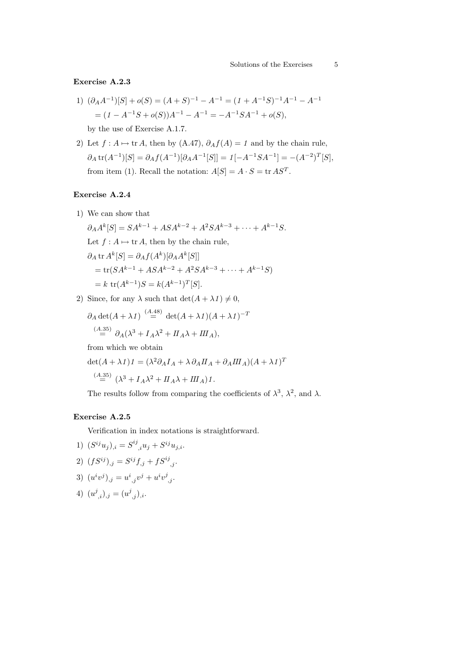### Exercise A.2.3

1) 
$$
(\partial_A A^{-1})[S] + o(S) = (A + S)^{-1} - A^{-1} = (1 + A^{-1}S)^{-1}A^{-1} - A^{-1}
$$

$$
= (1 - A^{-1}S + o(S))A^{-1} - A^{-1} = -A^{-1}SA^{-1} + o(S),
$$

by the use of Exercise A.1.7.

2) Let  $f : A \mapsto \text{tr } A$ , then by (A.47),  $\partial_A f(A) = 1$  and by the chain rule,  $\partial_A \text{tr}(A^{-1})[S] = \partial_A f(A^{-1})[\partial_A A^{-1}[S]] = 1[-A^{-1}SA^{-1}] = -(A^{-2})^T[S],$ from item (1). Recall the notation:  $A[S] = A \cdot S = \text{tr } AS^T$ .

### Exercise A.2.4

- 1) We can show that
	- $\partial_A A^k[S] = SA^{k-1} + ASA^{k-2} + A^2SA^{k-3} + \cdots + A^{k-1}S.$ Let  $f : A \mapsto \text{tr } A$ , then by the chain rule,  $\partial_A$  tr  $A^k[S] = \partial_A f(A^k)[\partial_A A^k[S]]$  $=$ tr( $SA^{k-1}$  +  $ASA^{k-2}$  +  $A^2SA^{k-3}$  +  $\cdots$  +  $A^{k-1}S$ )  $= k \text{ tr}(A^{k-1})S = k(A^{k-1})^T[S].$
- 2) Since, for any  $\lambda$  such that  $\det(A + \lambda I) \neq 0$ ,

$$
\partial_A \det(A + \lambda I) \stackrel{(A.48)}{=} \det(A + \lambda I)(A + \lambda I)^{-T}
$$
  

$$
\stackrel{(A.35)}{=} \partial_A (\lambda^3 + I_A \lambda^2 + II_A \lambda + III_A),
$$

from which we obtain

$$
\det(A + \lambda I)I = (\lambda^2 \partial_A I_A + \lambda \partial_A II_A + \partial_A III_A)(A + \lambda I)^T
$$

$$
\stackrel{(A.35)}{=} (\lambda^3 + I_A \lambda^2 + II_A \lambda + III_A)1.
$$

The results follow from comparing the coefficients of  $\lambda^3$ ,  $\lambda^2$ , and  $\lambda$ .

### Exercise A.2.5

Verification in index notations is straightforward.

- 1)  $(S^{ij}u_j)_{,i} = S^{ij}_{,i}u_j + S^{ij}u_{j,i}.$
- 2)  $(fS^{ij})_{,j} = S^{ij}f_{,j} + fS^{ij}_{,j}.$
- 3)  $(u^iv^j)_{,j} = u^i_{,j}v^j + u^iv^j_{,j}.$
- 4)  $(u^j_{,i})_{,j} = (u^j_{,j})_{,i}.$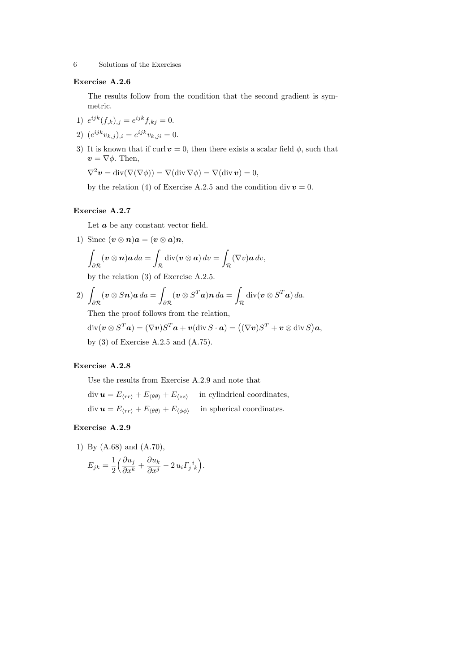#### Exercise A.2.6

The results follow from the condition that the second gradient is symmetric.

- 1)  $e^{ijk}(f_{,k})_{,j} = e^{ijk}f_{,kj} = 0.$
- 2)  $(e^{ijk}v_{k,j})_{,i} = e^{ijk}v_{k,ji} = 0.$
- 3) It is known that if curl  $v = 0$ , then there exists a scalar field  $\phi$ , such that  $v = \nabla \phi$ . Then,

$$
\nabla^2 \boldsymbol{v} = \mathrm{div}(\nabla(\nabla \phi)) = \nabla(\mathrm{div}\,\nabla \phi) = \nabla(\mathrm{div}\,\boldsymbol{v}) = 0,
$$

by the relation (4) of Exercise A.2.5 and the condition div  $v = 0$ .

### Exercise A.2.7

Let  $\boldsymbol{a}$  be any constant vector field.

1) Since  $(\boldsymbol{v} \otimes \boldsymbol{n})\boldsymbol{a} = (\boldsymbol{v} \otimes \boldsymbol{a})\boldsymbol{n},$ ∂R  $(\boldsymbol{v} \otimes \boldsymbol{n})\boldsymbol{a} da =$ R  $\operatorname{div}(\boldsymbol{v} \otimes \boldsymbol{a}) dv =$ R  $(\nabla v)$ a dv,

by the relation (3) of Exercise A.2.5.

2) 
$$
\int_{\partial \mathcal{R}} (\mathbf{v} \otimes S\mathbf{n}) \mathbf{a} \, d\mathbf{a} = \int_{\partial \mathcal{R}} (\mathbf{v} \otimes S^T \mathbf{a}) \mathbf{n} \, d\mathbf{a} = \int_{\mathcal{R}} \mathrm{div} (\mathbf{v} \otimes S^T \mathbf{a}) \, d\mathbf{a}.
$$

Then the proof follows from the relation,

$$
\text{div}(\boldsymbol{v} \otimes S^T \boldsymbol{a}) = (\nabla \boldsymbol{v})S^T \boldsymbol{a} + \boldsymbol{v}(\text{div } S \cdot \boldsymbol{a}) = ((\nabla \boldsymbol{v})S^T + \boldsymbol{v} \otimes \text{div } S) \boldsymbol{a},
$$
  
by (3) of Exercise A.2.5 and (A.75).

### Exercise A.2.8

Use the results from Exercise A.2.9 and note that

 $\text{div } \boldsymbol{u} = E_{\langle rr \rangle} + E_{\langle \theta \theta \rangle} + E_{\langle zz \rangle}$  in cylindrical coordinates,  $\text{div } \boldsymbol{u} = E_{\langle rr \rangle} + E_{\langle \theta \theta \rangle} + E_{\langle \phi \phi \rangle}$  in spherical coordinates.

#### Exercise A.2.9

1) By (A.68) and (A.70),

$$
E_{jk} = \frac{1}{2} \left( \frac{\partial u_j}{\partial x^k} + \frac{\partial u_k}{\partial x^j} - 2 u_i \Gamma_j{}^i{}_k \right).
$$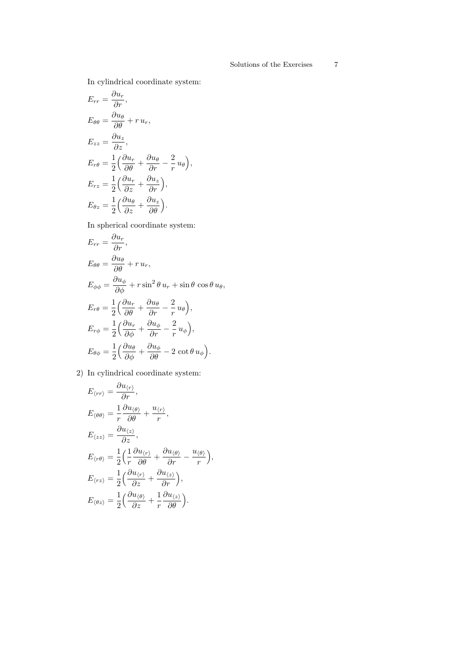In cylindrical coordinate system:

$$
E_{rr} = \frac{\partial u_r}{\partial r},
$$
  
\n
$$
E_{\theta\theta} = \frac{\partial u_{\theta}}{\partial \theta} + r u_r,
$$
  
\n
$$
E_{zz} = \frac{\partial u_z}{\partial z},
$$
  
\n
$$
E_{r\theta} = \frac{1}{2} \left( \frac{\partial u_r}{\partial \theta} + \frac{\partial u_{\theta}}{\partial r} - \frac{2}{r} u_{\theta} \right),
$$
  
\n
$$
E_{rz} = \frac{1}{2} \left( \frac{\partial u_r}{\partial z} + \frac{\partial u_z}{\partial r} \right),
$$
  
\n
$$
E_{\theta z} = \frac{1}{2} \left( \frac{\partial u_{\theta}}{\partial z} + \frac{\partial u_z}{\partial \theta} \right).
$$

In spherical coordinate system:

$$
E_{rr} = \frac{\partial u_r}{\partial r},
$$
  
\n
$$
E_{\theta\theta} = \frac{\partial u_{\theta}}{\partial \theta} + r u_r,
$$
  
\n
$$
E_{\phi\phi} = \frac{\partial u_{\phi}}{\partial \phi} + r \sin^2 \theta u_r + \sin \theta \cos \theta u_{\theta},
$$
  
\n
$$
E_{r\theta} = \frac{1}{2} \left( \frac{\partial u_r}{\partial \theta} + \frac{\partial u_{\theta}}{\partial r} - \frac{2}{r} u_{\theta} \right),
$$
  
\n
$$
E_{r\phi} = \frac{1}{2} \left( \frac{\partial u_r}{\partial \phi} + \frac{\partial u_{\phi}}{\partial r} - \frac{2}{r} u_{\phi} \right),
$$
  
\n
$$
E_{\theta\phi} = \frac{1}{2} \left( \frac{\partial u_{\theta}}{\partial \phi} + \frac{\partial u_{\phi}}{\partial \theta} - 2 \cot \theta u_{\phi} \right).
$$

2) In cylindrical coordinate system:

$$
E_{\langle rr \rangle} = \frac{\partial u_{\langle r \rangle}}{\partial r},
$$
  
\n
$$
E_{\langle \theta \theta \rangle} = \frac{1}{r} \frac{\partial u_{\langle \theta \rangle}}{\partial \theta} + \frac{u_{\langle r \rangle}}{r},
$$
  
\n
$$
E_{\langle zz \rangle} = \frac{\partial u_{\langle z \rangle}}{\partial z},
$$
  
\n
$$
E_{\langle r\theta \rangle} = \frac{1}{2} \left( \frac{1}{r} \frac{\partial u_{\langle r \rangle}}{\partial \theta} + \frac{\partial u_{\langle \theta \rangle}}{\partial r} - \frac{u_{\langle \theta \rangle}}{r} \right),
$$
  
\n
$$
E_{\langle rz \rangle} = \frac{1}{2} \left( \frac{\partial u_{\langle r \rangle}}{\partial z} + \frac{\partial u_{\langle z \rangle}}{\partial r} \right),
$$
  
\n
$$
E_{\langle \theta z \rangle} = \frac{1}{2} \left( \frac{\partial u_{\langle \theta \rangle}}{\partial z} + \frac{1}{r} \frac{\partial u_{\langle z \rangle}}{\partial \theta} \right).
$$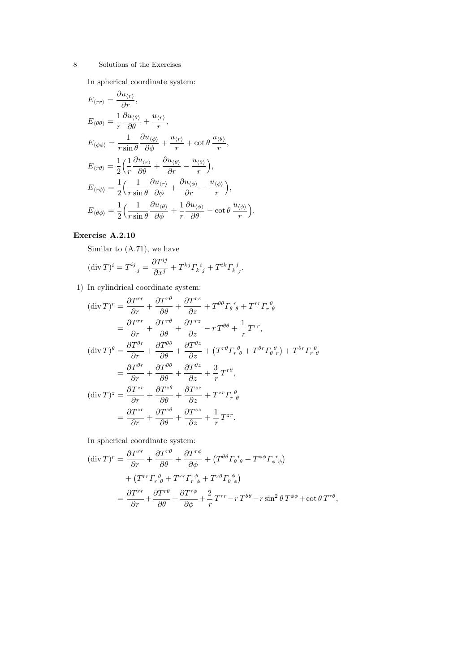In spherical coordinate system:

$$
E_{\langle rr \rangle} = \frac{\partial u_{\langle r \rangle}}{\partial r},
$$
  
\n
$$
E_{\langle \theta \theta \rangle} = \frac{1}{r} \frac{\partial u_{\langle \theta \rangle}}{\partial \theta} + \frac{u_{\langle r \rangle}}{r},
$$
  
\n
$$
E_{\langle \phi \phi \rangle} = \frac{1}{r \sin \theta} \frac{\partial u_{\langle \phi \rangle}}{\partial \phi} + \frac{u_{\langle r \rangle}}{r} + \cot \theta \frac{u_{\langle \theta \rangle}}{r},
$$
  
\n
$$
E_{\langle r \theta \rangle} = \frac{1}{2} \left( \frac{1}{r} \frac{\partial u_{\langle r \rangle}}{\partial \theta} + \frac{\partial u_{\langle \theta \rangle}}{\partial r} - \frac{u_{\langle \theta \rangle}}{r} \right),
$$
  
\n
$$
E_{\langle r \phi \rangle} = \frac{1}{2} \left( \frac{1}{r \sin \theta} \frac{\partial u_{\langle r \rangle}}{\partial \phi} + \frac{\partial u_{\langle \phi \rangle}}{\partial r} - \frac{u_{\langle \phi \rangle}}{r} \right),
$$
  
\n
$$
E_{\langle \theta \phi \rangle} = \frac{1}{2} \left( \frac{1}{r \sin \theta} \frac{\partial u_{\langle \theta \rangle}}{\partial \phi} + \frac{1}{r} \frac{\partial u_{\langle \phi \rangle}}{\partial \theta} - \cot \theta \frac{u_{\langle \phi \rangle}}{r} \right).
$$

# Exercise A.2.10

Similar to (A.71), we have

$$
(\operatorname{div} T)^i = T^{ij}_{\quad ,j} = \frac{\partial T^{ij}}{\partial x^j} + T^{kj} \varGamma_k{}^i{}_j + T^{ik} \varGamma_k{}^j{}_j.
$$

1) In cylindrical coordinate system:

$$
(\text{div}\,T)^r = \frac{\partial T^{rr}}{\partial r} + \frac{\partial T^{r\theta}}{\partial \theta} + \frac{\partial T^{rz}}{\partial z} + T^{\theta\theta} \Gamma_{\theta}^r{}_{\theta} + T^{rr} \Gamma_{r}^{\theta} \n= \frac{\partial T^{rr}}{\partial r} + \frac{\partial T^{r\theta}}{\partial \theta} + \frac{\partial T^{rz}}{\partial z} - r T^{\theta\theta} + \frac{1}{r} T^{rr},
$$
\n
$$
(\text{div}\,T)^{\theta} = \frac{\partial T^{\theta r}}{\partial r} + \frac{\partial T^{\theta\theta}}{\partial \theta} + \frac{\partial T^{\theta z}}{\partial z} + (T^{r\theta} \Gamma_{r}^{\theta}{}_{\theta} + T^{\theta r} \Gamma_{\theta}^{\theta}{}_{r}) + T^{\theta r} \Gamma_{r}^{\theta} \n= \frac{\partial T^{\theta r}}{\partial r} + \frac{\partial T^{\theta\theta}}{\partial \theta} + \frac{\partial T^{\theta z}}{\partial z} + \frac{3}{r} T^{r\theta},
$$
\n
$$
(\text{div}\,T)^z = \frac{\partial T^{zr}}{\partial r} + \frac{\partial T^{z\theta}}{\partial \theta} + \frac{\partial T^{zz}}{\partial z} + T^{z r} \Gamma_{r}^{\theta} \n= \frac{\partial T^{z r}}{\partial r} + \frac{\partial T^{z\theta}}{\partial \theta} + \frac{\partial T^{z z}}{\partial z} + \frac{1}{r} T^{z r}.
$$

In spherical coordinate system:

$$
(\operatorname{div} T)^{r} = \frac{\partial T^{rr}}{\partial r} + \frac{\partial T^{r\theta}}{\partial \theta} + \frac{\partial T^{r\phi}}{\partial \phi} + (T^{\theta \theta} \Gamma_{\theta}{}^{r}{}_{\theta} + T^{\phi \phi} \Gamma_{\phi}{}^{r}{}_{\phi})
$$
  
+ 
$$
(T^{rr} \Gamma_{r}{}^{\theta}{}_{\theta} + T^{rr} \Gamma_{r}{}^{\phi}{}_{\phi} + T^{r\theta} \Gamma_{\theta}{}^{\phi}{}_{\phi})
$$
  
= 
$$
\frac{\partial T^{rr}}{\partial r} + \frac{\partial T^{r\theta}}{\partial \theta} + \frac{\partial T^{r\phi}}{\partial \phi} + \frac{2}{r} T^{rr} - r T^{\theta \theta} - r \sin^{2} \theta T^{\phi \phi} + \cot \theta T^{r\theta},
$$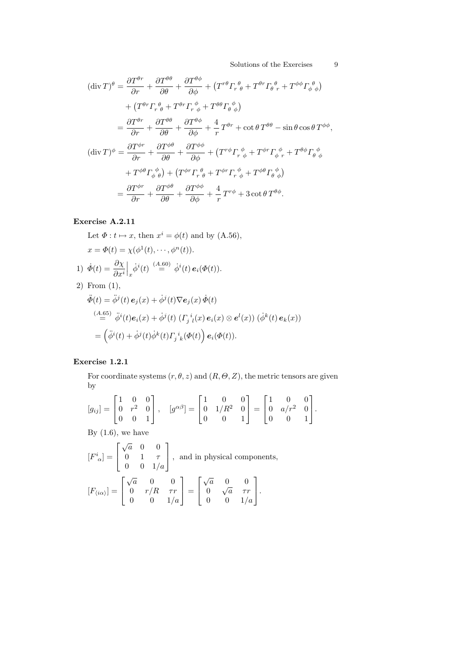$$
(\operatorname{div} T)^{\theta} = \frac{\partial T^{\theta r}}{\partial r} + \frac{\partial T^{\theta \theta}}{\partial \theta} + \frac{\partial T^{\theta \phi}}{\partial \phi} + (T^{r\theta} \Gamma_r^{\theta}{}_{\theta} + T^{\theta r} \Gamma_{\theta}^{\theta}{}_{r} + T^{\phi \phi} \Gamma_{\phi}^{\theta}{}_{\phi})
$$

$$
+ (T^{\theta r} \Gamma_r^{\theta}{}_{\theta} + T^{\theta r} \Gamma_r^{\phi}{}_{\phi} + T^{\theta \theta} \Gamma_{\theta}^{\phi})
$$

$$
= \frac{\partial T^{\theta r}}{\partial r} + \frac{\partial T^{\theta \theta}}{\partial \theta} + \frac{\partial T^{\theta \phi}}{\partial \phi} + \frac{4}{r} T^{\theta r} + \cot \theta T^{\theta \theta} - \sin \theta \cos \theta T^{\phi \phi},
$$

$$
(\operatorname{div} T)^{\phi} = \frac{\partial T^{\phi r}}{\partial r} + \frac{\partial T^{\phi \theta}}{\partial \theta} + \frac{\partial T^{\phi \phi}}{\partial \phi} + (T^{r\phi} \Gamma_r^{\phi}{}_{\phi} + T^{\phi r} \Gamma_{\phi}^{\phi}{}_{r} + T^{\theta \phi} \Gamma_{\theta}^{\phi}{}_{\phi})
$$

$$
+ T^{\phi \theta} \Gamma_{\phi}^{\phi}{}_{\theta}) + (T^{\phi r} \Gamma_r^{\theta}{}_{\theta} + T^{\phi r} \Gamma_r^{\phi}{}_{\phi} + T^{\phi \theta} \Gamma_{\theta}^{\phi}{}_{\phi})
$$

$$
= \frac{\partial T^{\phi r}}{\partial r} + \frac{\partial T^{\phi \theta}}{\partial \theta} + \frac{\partial T^{\phi \phi}}{\partial \phi} + \frac{4}{r} T^{r\phi} + 3 \cot \theta T^{\theta \phi}.
$$

# Exercise A.2.11

Let 
$$
\Phi: t \mapsto x
$$
, then  $x^i = \phi(t)$  and by (A.56),  
\n $x = \Phi(t) = \chi(\phi^1(t), \dots, \phi^n(t))$ .  
\n1)  $\dot{\Phi}(t) = \frac{\partial \chi}{\partial x^i} \Big|_x \dot{\phi}^i(t) \stackrel{(A.60)}{=} \dot{\phi}^i(t) e_i(\Phi(t))$ .  
\n2) From (1),  
\n $\ddot{\Phi}(t) = \ddot{\phi}^j(t) e_j(x) + \dot{\phi}^j(t) \nabla e_j(x) \dot{\Phi}(t)$   
\n $\stackrel{(A.65)}{=} \ddot{\phi}^i(t) e_i(x) + \dot{\phi}^j(t) ( \Gamma_j{}^i{}_i(x) e_i(x) \otimes e^l(x)) (\dot{\phi}^k(t) e_k(x))$   
\n $= (\ddot{\phi}^i(t) + \dot{\phi}^j(t) \dot{\phi}^k(t) \Gamma_j{}^i{}_k(\Phi(t)) e_i(\Phi(t))$ .

# Exercise 1.2.1

=

For coordinate systems  $(r, \theta, z)$  and  $(R, \Theta, Z)$ , the metric tensors are given by

 $\bm{e}_i(\varPhi(t)).$ 

$$
[g_{ij}] = \begin{bmatrix} 1 & 0 & 0 \\ 0 & r^2 & 0 \\ 0 & 0 & 1 \end{bmatrix}, \quad [g^{\alpha\beta}] = \begin{bmatrix} 1 & 0 & 0 \\ 0 & 1/R^2 & 0 \\ 0 & 0 & 1 \end{bmatrix} = \begin{bmatrix} 1 & 0 & 0 \\ 0 & a/r^2 & 0 \\ 0 & 0 & 1 \end{bmatrix}.
$$

By  $(1.6)$ , we have

$$
\begin{aligned} \left[F^i_{\,\,\alpha}\right] &= \left[\begin{array}{ccc} \sqrt{a} & 0 & 0 \\ 0 & 1 & \tau \\ 0 & 0 & 1/a \end{array}\right], \text{ and in physical components},\\ \left[F_{\langle i\alpha\rangle}\right] &= \left[\begin{array}{ccc} \sqrt{a} & 0 & 0 \\ 0 & r/R & \tau r \\ 0 & 0 & 1/a \end{array}\right] = \left[\begin{array}{ccc} \sqrt{a} & 0 & 0 \\ 0 & \sqrt{a} & \tau r \\ 0 & 0 & 1/a \end{array}\right]. \end{aligned}
$$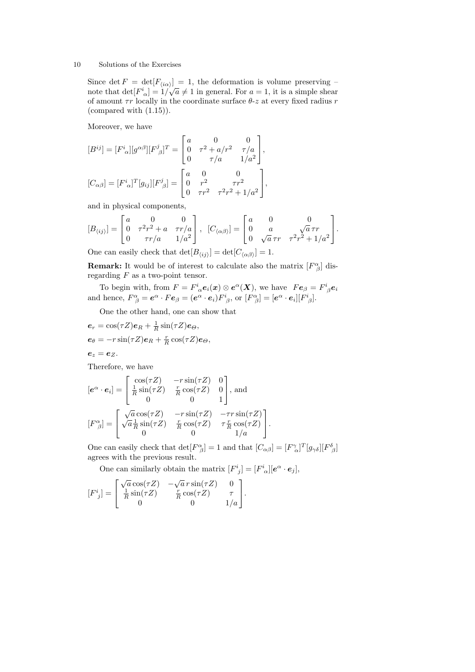Since  $\det F = \det[F_{\langle i\alpha\rangle}] = 1$ , the deformation is volume preserving – note that  $\det[F^i_{\alpha}] = 1/\sqrt{a} \neq 1$  in general. For  $a = 1$ , it is a simple shear of amount  $\tau r$  locally in the coordinate surface  $\theta$ -z at every fixed radius r (compared with (1.15)).

Moreover, we have

$$
[B^{ij}] = [F^{i}_{\alpha}][g^{\alpha\beta}][F^{j}_{\beta}]^{T} = \begin{bmatrix} a & 0 & 0 \\ 0 & \tau^{2} + a/r^{2} & \tau/a \\ 0 & \tau/a & 1/a^{2} \end{bmatrix},
$$
  

$$
[C_{\alpha\beta}] = [F^{i}_{\alpha}]^{T}[g_{ij}][F^{j}_{\beta}] = \begin{bmatrix} a & 0 & 0 \\ 0 & r^{2} & \tau r^{2} \\ 0 & \tau r^{2} & \tau^{2}r^{2} + 1/a^{2} \end{bmatrix},
$$

and in physical components,

$$
[B_{\langle ij \rangle}] = \begin{bmatrix} a & 0 & 0 \\ 0 & \tau^2 r^2 + a & \tau r/a \\ 0 & \tau r/a & 1/a^2 \end{bmatrix}, \ \ [C_{\langle \alpha \beta \rangle}] = \begin{bmatrix} a & 0 & 0 \\ 0 & a & \sqrt{a} \,\tau r \\ 0 & \sqrt{a} \,\tau r & \tau^2 r^2 + 1/a^2 \end{bmatrix}.
$$

One can easily check that  $\det[B_{\langle ij \rangle}] = \det[C_{\langle \alpha \beta \rangle}] = 1.$ 

**Remark:** It would be of interest to calculate also the matrix  $[F^{\alpha}_{\beta}]$  disregarding  $F$  as a two-point tensor.

To begin with, from  $F = F^i{}_{\alpha} e_i(x) \otimes e^{\alpha}(X)$ , we have  $Fe_{\beta} = F^i{}_{\beta} e_i$ and hence,  $F^{\alpha}_{\ \beta} = \mathbf{e}^{\alpha} \cdot F \mathbf{e}_{\beta} = (\mathbf{e}^{\alpha} \cdot \mathbf{e}_i) F^i_{\ \beta}$ , or  $[F^{\alpha}_{\ \beta}] = [\mathbf{e}^{\alpha} \cdot \mathbf{e}_i][F^i_{\ \beta}]$ .

One the other hand, one can show that

$$
e_r = \cos(\tau Z)e_R + \frac{1}{R}\sin(\tau Z)e_\Theta,
$$
  
\n
$$
e_\theta = -r\sin(\tau Z)e_R + \frac{r}{R}\cos(\tau Z)e_\Theta,
$$
  
\n
$$
e_z = e_Z.
$$

Therefore, we have  $\overline{r}$ 

$$
[\mathbf{e}^{\alpha} \cdot \mathbf{e}_i] = \begin{bmatrix} \cos(\tau Z) & -r\sin(\tau Z) & 0\\ \frac{1}{R}\sin(\tau Z) & \frac{r}{R}\cos(\tau Z) & 0\\ 0 & 0 & 1 \end{bmatrix}, \text{ and}
$$

$$
[F^{\alpha}_{\beta}] = \begin{bmatrix} \sqrt{a}\cos(\tau Z) & -r\sin(\tau Z) & -\tau r\sin(\tau Z)\\ \sqrt{a}\frac{1}{R}\sin(\tau Z) & \frac{r}{R}\cos(\tau Z) & \tau \frac{r}{R}\cos(\tau Z)\\ 0 & 0 & 1/a \end{bmatrix}.
$$

One can easily check that  $\det[F^{\alpha}_{\beta}] = 1$  and that  $[C_{\alpha\beta}] = [F^{\gamma}_{\alpha}]^T[g_{\gamma\delta}]F^{\delta}_{\beta}$ agrees with the previous result.

One can similarly obtain the matrix  $[F^i_{\ \, j}] = [F^i_{\ \alpha}][e^{\alpha} \cdot e_j],$ 

$$
[F^i_{\ j}]=\begin{bmatrix} \sqrt{a}\cos(\tau Z) & -\sqrt{a}\,r\sin(\tau Z) & 0\\ \frac{1}{R}\sin(\tau Z) & \frac{r}{R}\cos(\tau Z) & \tau\\ 0 & 0 & 1/a \end{bmatrix}.
$$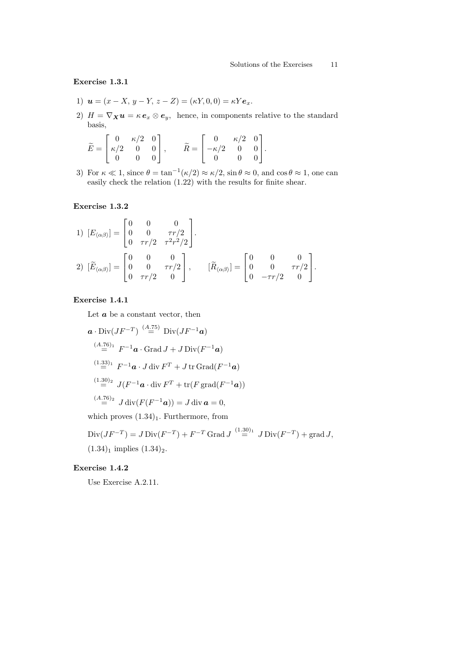Exercise 1.3.1

- 1)  $u = (x X, y Y, z Z) = (\kappa Y, 0, 0) = \kappa Y e_x$ .
- 2)  $H = \nabla_X u = \kappa e_x \otimes e_y$ , hence, in components relative to the standard basis,

| $\widetilde{E} = \begin{bmatrix} 0 & \kappa/2 & 0 \ \kappa/2 & 0 & 0 \ 0 & 0 & 0 \end{bmatrix},$ |  |  | $\widetilde{R} = \begin{bmatrix} 0 & \kappa/2 & 0 \\ -\kappa/2 & 0 & 0 \\ 0 & 0 & 0 \end{bmatrix}.$ |  |  |
|--------------------------------------------------------------------------------------------------|--|--|-----------------------------------------------------------------------------------------------------|--|--|
|                                                                                                  |  |  |                                                                                                     |  |  |

3) For  $\kappa \ll 1$ , since  $\theta = \tan^{-1}(\kappa/2) \approx \kappa/2$ ,  $\sin \theta \approx 0$ , and  $\cos \theta \approx 1$ , one can easily check the relation (1.22) with the results for finite shear.

### Exercise 1.3.2

1) 
$$
[E_{\langle \alpha\beta \rangle}] = \begin{bmatrix} 0 & 0 & 0 \\ 0 & 0 & \tau r/2 \\ 0 & \tau r/2 & \tau^2 r^2/2 \end{bmatrix}.
$$
  
2) 
$$
[\widetilde{E}_{\langle \alpha\beta \rangle}] = \begin{bmatrix} 0 & 0 & 0 \\ 0 & 0 & \tau r/2 \\ 0 & \tau r/2 & 0 \end{bmatrix}, \qquad [\widetilde{R}_{\langle \alpha\beta \rangle}] = \begin{bmatrix} 0 & 0 & 0 \\ 0 & 0 & \tau r/2 \\ 0 & -\tau r/2 & 0 \end{bmatrix}.
$$

### Exercise 1.4.1

Let  $\boldsymbol{a}$  be a constant vector, then

$$
\mathbf{a} \cdot \text{Div}(JF^{-T}) \stackrel{(A.75)}{=} \text{Div}(JF^{-1}\mathbf{a})
$$
  
\n
$$
\stackrel{(A.76)_1}{=} F^{-1}\mathbf{a} \cdot \text{Grad } J + J \text{ Div}(F^{-1}\mathbf{a})
$$
  
\n
$$
\stackrel{(1.33)_1}{=} F^{-1}\mathbf{a} \cdot J \text{ div } F^T + J \text{ tr Grad}(F^{-1}\mathbf{a})
$$
  
\n
$$
\stackrel{(1.30)_2}{=} J(F^{-1}\mathbf{a} \cdot \text{div } F^T + \text{tr}(F \text{ grad}(F^{-1}\mathbf{a}))
$$
  
\n
$$
\stackrel{(A.76)_2}{=} J \text{div}(F(F^{-1}\mathbf{a})) = J \text{ div } \mathbf{a} = 0,
$$

which proves  $(1.34)_1$ . Furthermore, from

Div
$$
(JF^{-T}) = J \text{Div}(F^{-T}) + F^{-T} \text{Grad } J \stackrel{(1.30)_1}{=} J \text{Div}(F^{-T}) + \text{grad } J,
$$
  
(1.34)<sub>1</sub> implies (1.34)<sub>2</sub>.

# Exercise 1.4.2

Use Exercise A.2.11.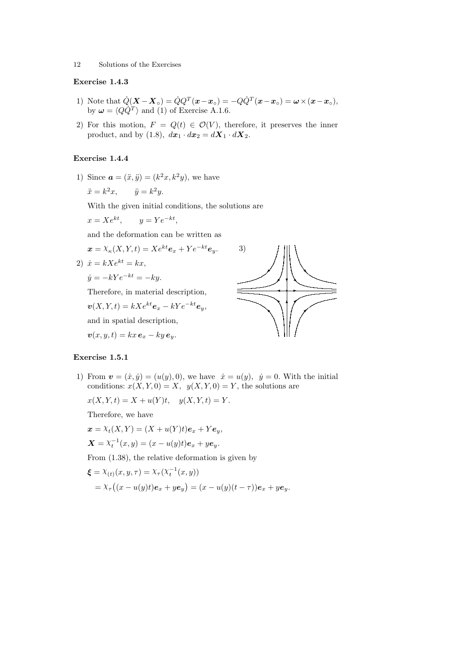### Exercise 1.4.3

- 1) Note that  $\dot{Q}(\boldsymbol{X}-\boldsymbol{X}_o) = \dot{Q}Q^T(\boldsymbol{x}-\boldsymbol{x}_o) = -Q\dot{Q}^T(\boldsymbol{x}-\boldsymbol{x}_o) = \boldsymbol{\omega}\times(\boldsymbol{x}-\boldsymbol{x}_o),$ by  $\omega = \langle Q \dot{Q}^T \rangle$  and (1) of Exercise A.1.6.
- 2) For this motion,  $F = Q(t) \in \mathcal{O}(V)$ , therefore, it preserves the inner product, and by (1.8),  $d\mathbf{x}_1 \cdot d\mathbf{x}_2 = d\mathbf{X}_1 \cdot d\mathbf{X}_2$ .

#### Exercise 1.4.4

1) Since  $a = (\ddot{x}, \ddot{y}) = (k^2x, k^2y)$ , we have

$$
\ddot{x} = k^2 x, \qquad \ddot{y} = k^2 y.
$$

With the given initial conditions, the solutions are

$$
x = Xe^{kt}, \qquad y = Ye^{-kt},
$$

and the deformation can be written as

$$
\mathbf{x} = X_{\kappa}(X, Y, t) = X e^{kt} \mathbf{e}_x + Y e^{-kt} \mathbf{e}_y.
$$
  
2) 
$$
\dot{x} = kX e^{kt} = kx,
$$

$$
\dot{y} = -kYe^{-kt} = -ky.
$$

Therefore, in material description,

 $\mathbf{v}(X, Y, t) = kXe^{kt}\mathbf{e}_x - kYe^{-kt}\mathbf{e}_y,$ 

and in spatial description,

 $\mathbf{v}(x, y, t) = kx \, \mathbf{e}_x - ky \, \mathbf{e}_y.$ 



#### Exercise 1.5.1

1) From  $v = (\dot{x}, \dot{y}) = (u(y), 0)$ , we have  $\dot{x} = u(y), \dot{y} = 0$ . With the initial conditions:  $x(X, Y, 0) = X$ ,  $y(X, Y, 0) = Y$ , the solutions are

 $x(X, Y, t) = X + u(Y)t$ ,  $y(X, Y, t) = Y$ .

Therefore, we have

$$
\mathbf{x} = \chi_t(X, Y) = (X + u(Y)t)\mathbf{e}_x + Y\mathbf{e}_y,
$$
  

$$
\mathbf{X} = \chi_t^{-1}(x, y) = (x - u(y)t)\mathbf{e}_x + y\mathbf{e}_y.
$$

From (1.38), the relative deformation is given by

$$
\begin{aligned} \boldsymbol{\xi} &= \lambda_{(t)}(x, y, \tau) = \lambda_{\tau}(\lambda_t^{-1}(x, y)) \\ &= \lambda_{\tau}\big((x - u(y)t)\boldsymbol{e}_x + y\boldsymbol{e}_y\big) = (x - u(y)(t - \tau))\boldsymbol{e}_x + y\boldsymbol{e}_y. \end{aligned}
$$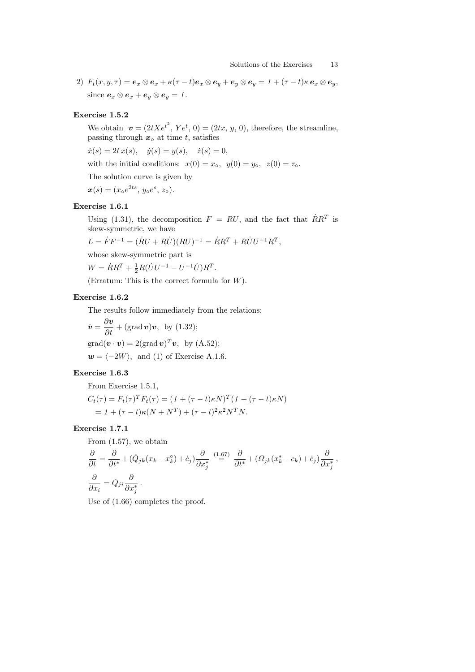2)  $F_t(x, y, \tau) = e_x \otimes e_x + \kappa(\tau - t)e_x \otimes e_y + e_y \otimes e_y = 1 + (\tau - t)\kappa e_x \otimes e_y,$ since  $e_x \otimes e_x + e_y \otimes e_y = 1$ .

### Exercise 1.5.2

We obtain  $\mathbf{v} = (2tXe^{t^2}, Ye^t, 0) = (2tx, y, 0)$ , therefore, the streamline, passing through  $x<sub>∘</sub>$  at time t, satisfies

 $\dot{x}(s) = 2t x(s), \quad \dot{y}(s) = y(s), \quad \dot{z}(s) = 0,$ 

with the initial conditions:  $x(0) = x<sub>o</sub>, y(0) = y<sub>o</sub>, z(0) = z<sub>o</sub>.$ 

The solution curve is given by

 $x(s) = (x \circ e^{2ts}, y \circ e^{s}, z \circ).$ 

### Exercise 1.6.1

Using (1.31), the decomposition  $F = RU$ , and the fact that  $\dot{R}R^{T}$  is skew-symmetric, we have

 $L = \dot{F}F^{-1} = (\dot{R}U + R\dot{U})(RU)^{-1} = \dot{R}R^{T} + R\dot{U}U^{-1}R^{T},$ 

whose skew-symmetric part is

 $W = \dot{R}R^{T} + \frac{1}{2}R(\dot{U}U^{-1} - U^{-1}\dot{U})R^{T}.$ 

(Erratum: This is the correct formula for W).

### Exercise 1.6.2

The results follow immediately from the relations:

$$
\dot{v} = \frac{\partial v}{\partial t} + (\text{grad } v)v, \text{ by (1.32)};
$$
  
grad $(v \cdot v) = 2(\text{grad } v)^T v$ , by (A.52);  
 $w = \langle -2W \rangle$ , and (1) of Exercise A.1.6.

### Exercise 1.6.3

From Exercise 1.5.1,

$$
C_t(\tau) = F_t(\tau)^T F_t(\tau) = (1 + (\tau - t)\kappa N)^T (1 + (\tau - t)\kappa N)
$$
  
= 1 + (\tau - t)\kappa (N + N^T) + (\tau - t)^2 \kappa^2 N^T N.

### Exercise 1.7.1

From (1.57), we obtain

$$
\frac{\partial}{\partial t} = \frac{\partial}{\partial t^*} + (\dot{Q}_{jk}(x_k - x_k^{\circ}) + \dot{c}_j) \frac{\partial}{\partial x_j^*} \stackrel{(1.67)}{=} \frac{\partial}{\partial t^*} + (Q_{jk}(x_k^* - c_k) + \dot{c}_j) \frac{\partial}{\partial x_j^*},
$$
  

$$
\frac{\partial}{\partial x_i} = Q_{ji} \frac{\partial}{\partial x_j^*}.
$$

Use of  $(1.66)$  completes the proof.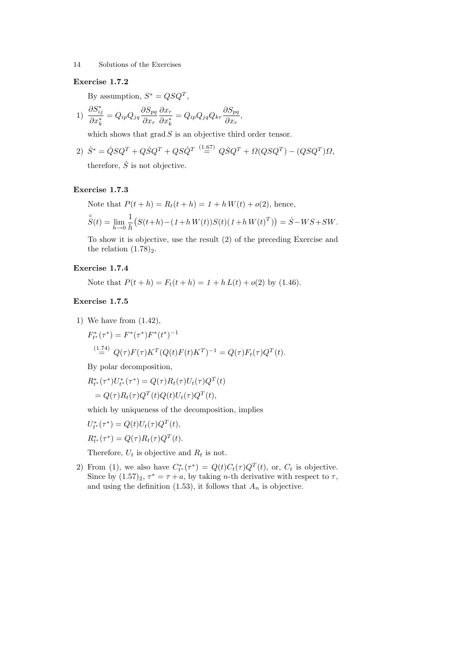#### Exercise 1.7.2

By assumption,  $S^* = QSQ^T$ ,

$$
1) \frac{\partial S_{ij}^*}{\partial x_k^*} = Q_{ip} Q_{jq} \frac{\partial S_{pq}}{\partial x_r} \frac{\partial x_r}{\partial x_k^*} = Q_{ip} Q_{jq} Q_{kr} \frac{\partial S_{pq}}{\partial x_r},
$$

which shows that  $\operatorname{grad} S$  is an objective third order tensor.

2) 
$$
\dot{S}^* = \dot{Q}SQ^T + Q\dot{S}Q^T + QS\dot{Q}^T \stackrel{(1.67)}{=} Q\dot{S}Q^T + \Omega(QSQ^T) - (QSQ^T)\Omega,
$$

therefore,  $\dot{S}$  is not objective.

# Exercise 1.7.3

Note that  $P(t + h) = R_t(t + h) = 1 + h W(t) + o(2)$ , hence,

$$
\hat{S}(t) = \lim_{h \to 0} \frac{1}{h} \left( S(t+h) - (1+h W(t))S(t)(1+h W(t)^{T}) \right) = \dot{S} - WS + SW.
$$

To show it is objective, use the result (2) of the preceding Exercise and the relation  $(1.78)_2$ .

### Exercise 1.7.4

Note that  $P(t + h) = F_t(t + h) = 1 + h L(t) + o(2)$  by (1.46).

### Exercise 1.7.5

1) We have from (1.42),

$$
F_{t^*}^*(\tau^*) = F^*(\tau^*)F^*(t^*)^{-1}
$$
  
\n
$$
\stackrel{(1.74)}{=} Q(\tau)F(\tau)K^T(Q(t)F(t)K^T)^{-1} = Q(\tau)F_t(\tau)Q^T(t).
$$

By polar decomposition,

$$
R_{t^*}^*(\tau^*)U_{t^*}^*(\tau^*) = Q(\tau)R_t(\tau)U_t(\tau)Q^T(t)
$$
  
=  $Q(\tau)R_t(\tau)Q^T(t)Q(t)U_t(\tau)Q^T(t)$ ,

which by uniqueness of the decomposition, implies

$$
U_{t^*}^*(\tau^*) = Q(t)U_t(\tau)Q^T(t),
$$
  

$$
R_{t^*}^*(\tau^*) = Q(\tau)R_t(\tau)Q^T(t).
$$

Therefore,  $U_t$  is objective and  $R_t$  is not.

2) From (1), we also have  $C_{t^*}^*(\tau^*) = Q(t)C_t(\tau)Q^T(t)$ , or,  $C_t$  is objective. Since by  $(1.57)_2$ ,  $\tau^* = \tau + a$ , by taking *n*-th derivative with respect to  $\tau$ , and using the definition  $(1.53)$ , it follows that  $A_n$  is objective.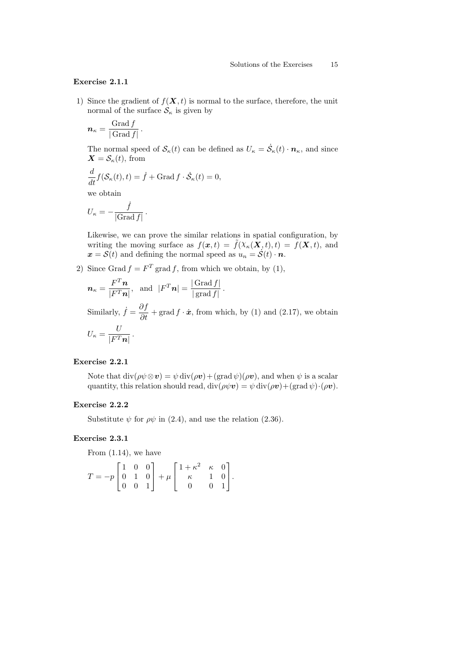### Exercise 2.1.1

1) Since the gradient of  $f(\mathbf{X}, t)$  is normal to the surface, therefore, the unit normal of the surface  $S_{\kappa}$  is given by

$$
\boldsymbol{n}_{\kappa} = \frac{\text{Grad}\,f}{|\,\text{Grad}\,f|}.
$$

The normal speed of  $\mathcal{S}_{\kappa}(t)$  can be defined as  $U_{\kappa} = \dot{\mathcal{S}}_{\kappa}(t) \cdot \mathbf{n}_{\kappa}$ , and since  $\mathbf{X} = \mathcal{S}_{\kappa}(t)$ , from

$$
\frac{d}{dt}f(\mathcal{S}_{\kappa}(t),t) = \dot{f} + \text{Grad}\,f \cdot \dot{\mathcal{S}}_{\kappa}(t) = 0,
$$

we obtain

$$
U_{\kappa} = -\frac{\dot{f}}{|\text{Grad } f|}.
$$

Likewise, we can prove the similar relations in spatial configuration, by writing the moving surface as  $f(\mathbf{x}, t) = \tilde{f}(\mathbf{X}_{\kappa}(\mathbf{X}, t), t) = f(\mathbf{X}, t)$ , and  $\mathbf{x} = \mathbf{S}(t)$  and defining the normal speed as  $u_n = \mathbf{S}(t) \cdot \mathbf{n}$ .

2) Since Grad  $f = F<sup>T</sup>$  grad f, from which we obtain, by (1),

$$
\boldsymbol{n}_{\kappa} = \frac{F^T \boldsymbol{n}}{|F^T \boldsymbol{n}|}, \text{ and } |F^T \boldsymbol{n}| = \frac{|\text{Grad } f|}{|\text{grad } f|}.
$$

Similarly,  $\dot{f} = \frac{\partial f}{\partial t} + \text{grad } f \cdot \dot{x}$ , from which, by (1) and (2.17), we obtain  $U_{\kappa} = \frac{U}{\Gamma F T}$  $\frac{\sigma}{|F^T n|}$ .

### Exercise 2.2.1

Note that  $\text{div}(\rho \psi \otimes \mathbf{v}) = \psi \text{div}(\rho \mathbf{v}) + (\text{grad } \psi)(\rho \mathbf{v})$ , and when  $\psi$  is a scalar quantity, this relation should read,  $\text{div}(\rho \psi \boldsymbol{v}) = \psi \text{div}(\rho \boldsymbol{v}) + (\text{grad } \psi) \cdot (\rho \boldsymbol{v}).$ 

#### Exercise 2.2.2

Substitute  $\psi$  for  $\rho\psi$  in (2.4), and use the relation (2.36).

#### Exercise 2.3.1

From (1.14), we have

$$
T = -p \begin{bmatrix} 1 & 0 & 0 \\ 0 & 1 & 0 \\ 0 & 0 & 1 \end{bmatrix} + \mu \begin{bmatrix} 1 + \kappa^2 & \kappa & 0 \\ \kappa & 1 & 0 \\ 0 & 0 & 1 \end{bmatrix}.
$$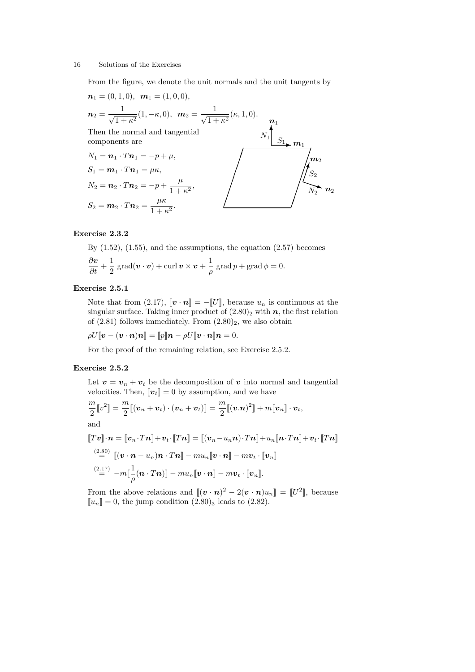From the figure, we denote the unit normals and the unit tangents by

$$
n_1 = (0, 1, 0), \quad m_1 = (1, 0, 0),
$$
\n
$$
n_2 = \frac{1}{\sqrt{1 + \kappa^2}} (1, -\kappa, 0), \quad m_2 = \frac{1}{\sqrt{1 + \kappa^2}} (\kappa, 1, 0).
$$
\nThen the normal and tangential components are\n
$$
N_1 = n_1 \cdot T n_1 = -p + \mu,
$$
\n
$$
S_1 = m_1 \cdot T n_1 = \mu \kappa,
$$
\n
$$
N_2 = n_2 \cdot T n_2 = -p + \frac{\mu}{1 + \kappa^2},
$$
\n
$$
S_2 = m_2 \cdot T n_2 = \frac{\mu \kappa}{1 + \kappa^2}.
$$

### Exercise 2.3.2

By  $(1.52)$ ,  $(1.55)$ , and the assumptions, the equation  $(2.57)$  becomes  $\frac{\partial v}{\partial t} + \frac{1}{2}$  $\frac{1}{2}\,\operatorname{grad} (\boldsymbol{v}\cdot \boldsymbol{v}) + \operatorname{curl} \boldsymbol{v}\times \boldsymbol{v} + \frac{1}{\rho}$  $\frac{1}{\rho}$  grad  $p +$  grad  $\phi = 0$ .

#### Exercise 2.5.1

Note that from (2.17),  $[\![\boldsymbol{v}\cdot\boldsymbol{n}]\!] = -[\![\boldsymbol{U}]\!]$ , because  $u_n$  is continuous at the singular surface. Taking inner product of  $(2.80)_2$  with n, the first relation of  $(2.81)$  follows immediately. From  $(2.80)_2$ , we also obtain

$$
\rho U[\![\boldsymbol{v}-(\boldsymbol{v}\cdot\boldsymbol{n})\boldsymbol{n}]\!]=[\![p]\!] \boldsymbol{n}-\rho U[\![\boldsymbol{v}\cdot\boldsymbol{n}]\!] \boldsymbol{n}=0.
$$

For the proof of the remaining relation, see Exercise 2.5.2.

#### Exercise 2.5.2

Let  $\mathbf{v} = \mathbf{v}_n + \mathbf{v}_t$  be the decomposition of  $\mathbf{v}$  into normal and tangential velocities. Then,  $\|\mathbf{v}_t\|=0$  by assumption, and we have

$$
\frac{m}{2}[\![v^2]\!] = \frac{m}{2}[(\boldsymbol{v}_n + \boldsymbol{v}_t) \cdot (\boldsymbol{v}_n + \boldsymbol{v}_t)]\!] = \frac{m}{2}[(\boldsymbol{v}.\boldsymbol{n})^2]\!] + m[\![\boldsymbol{v}_n]\!] \cdot \boldsymbol{v}_t,
$$
  
and  

$$
[\![T\boldsymbol{v}]\!] \cdot \boldsymbol{n} = [\![\boldsymbol{v}_n \cdot T\boldsymbol{n}]\!] + \boldsymbol{v}_t \cdot [\![T\boldsymbol{n}]\!] = [[(\boldsymbol{v}_n - u_n \boldsymbol{n}) \cdot T\boldsymbol{n}]\!] + u_n[\![\boldsymbol{n} \cdot T\boldsymbol{n}]\!] + \boldsymbol{v}_t \cdot [\![T\boldsymbol{n}]\!]
$$
  

$$
\stackrel{(2.80)}{=} [(\boldsymbol{v} \cdot \boldsymbol{n} - u_n)\boldsymbol{n} \cdot T\boldsymbol{n}]\!] - m u_n[\![\boldsymbol{v} \cdot \boldsymbol{n}]\!] - m \boldsymbol{v}_t \cdot [\![\boldsymbol{v}_n]\!]
$$
  

$$
\stackrel{(2.17)}{=} -m[\![\frac{1}{\rho}(\boldsymbol{n} \cdot T\boldsymbol{n})]\!] - m u_n[\![\boldsymbol{v} \cdot \boldsymbol{n}]\!] - m \boldsymbol{v}_t \cdot [\![\boldsymbol{v}_n]\!].
$$

From the above relations and  $[(\mathbf{v} \cdot \mathbf{n})^2 - 2(\mathbf{v} \cdot \mathbf{n})u_n] = [U^2]$ , because  $\llbracket u_n \rrbracket = 0$ , the jump condition  $(2.80)_3$  leads to  $(2.82)$ .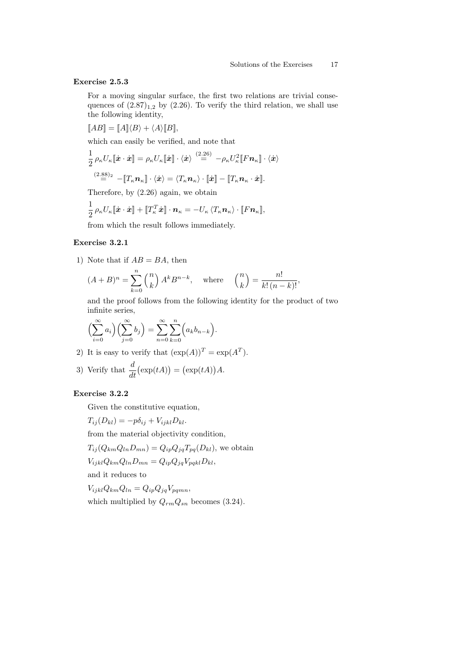#### Exercise 2.5.3

For a moving singular surface, the first two relations are trivial consequences of  $(2.87)_{1,2}$  by  $(2.26)$ . To verify the third relation, we shall use the following identity,

$$
[\![AB]\!] = [\![A]\!] \langle B \rangle + \langle A \rangle [\![B]\!],
$$

which can easily be verified, and note that

$$
\frac{1}{2} \rho_{\kappa} U_{\kappa} [\![\dot{\boldsymbol{x}}\cdot \dot{\boldsymbol{x}}]\!] = \rho_{\kappa} U_{\kappa} [\![\dot{\boldsymbol{x}}]\!] \cdot \langle \dot{\boldsymbol{x}} \rangle \stackrel{(2.26)}{=} -\rho_{\kappa} U_{\kappa}^2 [\![F \boldsymbol{n}_{\kappa}]\!] \cdot \langle \dot{\boldsymbol{x}} \rangle
$$
\n
$$
\stackrel{(2.88)}{=} -[\![T_{\kappa} \boldsymbol{n}_{\kappa}]\!] \cdot \langle \dot{\boldsymbol{x}} \rangle = \langle T_{\kappa} \boldsymbol{n}_{\kappa} \rangle \cdot [\![\dot{\boldsymbol{x}}]\!] - [\![T_{\kappa} \boldsymbol{n}_{\kappa} \cdot \dot{\boldsymbol{x}}]\!].
$$

Therefore, by (2.26) again, we obtain

$$
\frac{1}{2}\,\rho_\kappa U_\kappa [\![\dot{\bm{x}}\cdot\dot{\bm{x}}]\!] + [\![T_\kappa^T\dot{\bm{x}}]\!] \cdot \bm{n}_\kappa = -U_\kappa \, \langle T_\kappa \bm{n}_\kappa \rangle \cdot [\![F\bm{n}_\kappa]\!],
$$

from which the result follows immediately.

# Exercise 3.2.1

1) Note that if  $AB = BA$ , then

$$
(A+B)^n = \sum_{k=0}^n \binom{n}{k} A^k B^{n-k}, \quad \text{where} \quad \binom{n}{k} = \frac{n!}{k!(n-k)!},
$$

and the proof follows from the following identity for the product of two infinite series,

$$
\left(\sum_{i=0}^{\infty} a_i\right) \left(\sum_{j=0}^{\infty} b_j\right) = \sum_{n=0}^{\infty} \sum_{k=0}^{n} \left(a_k b_{n-k}\right).
$$

2) It is easy to verify that  $(\exp(A))^T = \exp(A^T)$ .

3) Verify that 
$$
\frac{d}{dt}(\exp(tA)) = (\exp(tA))A
$$
.

### Exercise 3.2.2

Given the constitutive equation,

 $T_{ij}(D_{kl}) = -p\delta_{ij} + V_{ijkl}D_{kl}.$ 

from the material objectivity condition,

 $T_{ij}(Q_{km}Q_{ln}D_{mn}) = Q_{ip}Q_{jq}T_{pq}(D_{kl})$ , we obtain

$$
V_{ijkl}Q_{km}Q_{ln}D_{mn}=Q_{ip}Q_{jq}V_{pqkl}D_{kl},
$$

and it reduces to

 $V_{ijkl}Q_{km}Q_{ln} = Q_{ip}Q_{jq}V_{pqmn},$ which multiplied by  $Q_{rm}Q_{sn}$  becomes (3.24).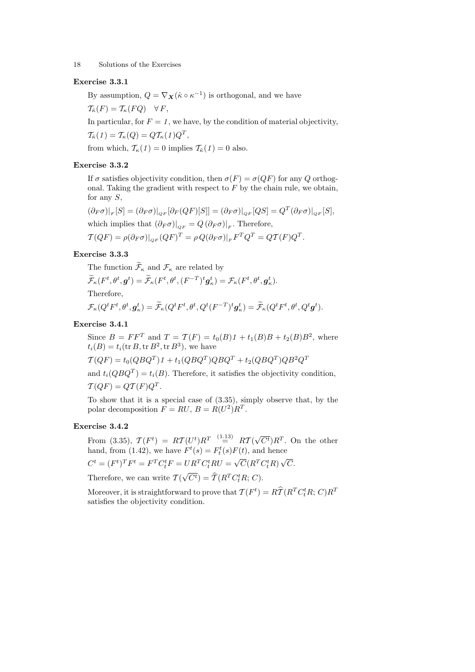### Exercise 3.3.1

By assumption,  $Q = \nabla_{\mathbf{X}} (\hat{\kappa} \circ \kappa^{-1})$  is orthogonal, and we have  $\mathcal{T}_{\hat{\kappa}}(F) = \mathcal{T}_{\kappa}(FQ) \quad \forall F,$ 

In particular, for  $F = 1$ , we have, by the condition of material objectivity,  $\mathcal{T}_{\hat{\kappa}}(1) = \mathcal{T}_{\kappa}(Q) = Q \mathcal{T}_{\kappa}(1) Q^T,$ 

from which,  $\mathcal{T}_{\kappa}(1) = 0$  implies  $\mathcal{T}_{\hat{\kappa}}(1) = 0$  also.

### Exercise 3.3.2

If  $\sigma$  satisfies objectivity condition, then  $\sigma(F) = \sigma(QF)$  for any Q orthogonal. Taking the gradient with respect to  $\overline{F}$  by the chain rule, we obtain, for any S,

$$
(\partial_F \sigma)|_F[S] = (\partial_F \sigma)|_{QF} [\partial_F (QF)[S]] = (\partial_F \sigma)|_{QF} [QS] = Q^T (\partial_F \sigma)|_{QF} [S],
$$
  
which implies that 
$$
(\partial_F \sigma)|_{QF} = Q (\partial_F \sigma)|_F
$$
. Therefore,  

$$
\mathcal{T}(QF) = \rho(\partial_F \sigma)|_{QF} (QF)^T = \rho Q(\partial_F \sigma)|_F F^T Q^T = Q \mathcal{T}(F) Q^T.
$$

#### Exercise 3.3.3

The function  $\widetilde{\mathcal{F}}_{\kappa}$  and  $\mathcal{F}_{\kappa}$  are related by

$$
\begin{aligned} &\widetilde{\mathcal{F}}_\kappa(F^t, \theta^t, \pmb{g}^t) = \widetilde{\mathcal{F}}_\kappa(F^t, \theta^t, (F^{-T})^t \pmb{g}_\kappa^t) = \mathcal{F}_\kappa(F^t, \theta^t, \pmb{g}_\kappa^t).\\ &\text{Therefore},\\ &\mathcal{F}_\kappa(Q^t F^t, \theta^t, \pmb{g}_\kappa^t) = \widetilde{\mathcal{F}}_\kappa(Q^t F^t, \theta^t, Q^t (F^{-T})^t \pmb{g}_\kappa^t) = \widetilde{\mathcal{F}}_\kappa(Q^t F^t, \theta^t, Q^t \pmb{g}^t). \end{aligned}
$$

#### Exercise 3.4.1

Since  $B = FF^{T}$  and  $T = T(F) = t_{0}(B)1 + t_{1}(B)B + t_{2}(B)B^{2}$ , where  $t_i(B) = t_i(\text{tr }B, \text{tr }B^2, \text{tr }B^3)$ , we have  $\mathcal{T}(QF)=t_0(QBQ^T)1+t_1(QBQ^T)QBQ^T+t_2(QBQ^T)QB^2Q^T$ and  $t_i(QBQ^T) = t_i(B)$ . Therefore, it satisfies the objectivity condition,  $\mathcal{T}(QF) = Q\mathcal{T}(F)Q^T.$ 

To show that it is a special case of (3.35), simply observe that, by the polar decomposition  $F = RU, B = R(U^2)R^T$ .

### Exercise 3.4.2

From (3.35),  $\mathcal{T}(F^t) = RT(U^t)R^T \stackrel{(1.13)}{=} RT($  $\sqrt{C^t}$ ) $R^T$ . On the other hand, from (1.42), we have  $F^t(s) = F_t^t(s)F(t)$ , and hence  $C^t = (F^t)^T F^t = F^T C_t^t F = U R^T C_t^t R U =$  $\sqrt{C}(R^TC_t^tR)$ √ C.

Therefore, we can write  $\mathcal{T}$  (  $\sqrt{C^t}$ ) =  $\hat{\mathcal{T}}(R^T C_t^t R; C)$ .

Moreover, it is straightforward to prove that  $\mathcal{T}(F^t)=R\widehat{\mathcal{T}}(R^TC_t^tR; \, C)R^T$ satisfies the objectivity condition.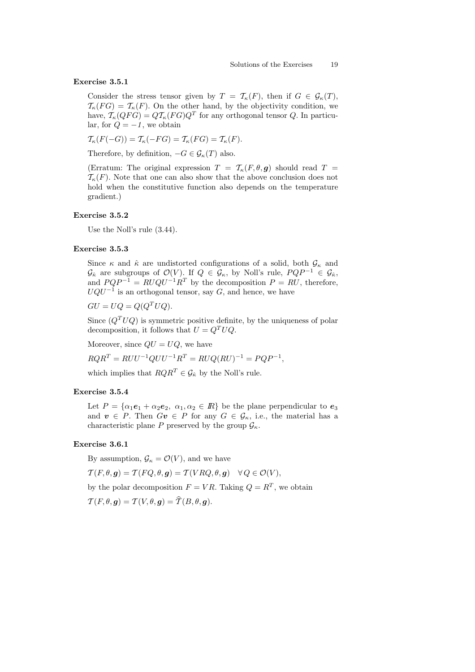#### Exercise 3.5.1

Consider the stress tensor given by  $T = \mathcal{T}_{\kappa}(F)$ , then if  $G \in \mathcal{G}_{\kappa}(T)$ ,  $\mathcal{T}_{\kappa}(FG) = \mathcal{T}_{\kappa}(F)$ . On the other hand, by the objectivity condition, we have,  $\mathcal{T}_{\kappa}(QFG) = Q\mathcal{T}_{\kappa}(FG)Q^T$  for any orthogonal tensor Q. In particular, for  $Q = -1$ , we obtain

$$
\mathcal{T}_{\kappa}(F(-G)) = \mathcal{T}_{\kappa}(-FG) = \mathcal{T}_{\kappa}(FG) = \mathcal{T}_{\kappa}(F).
$$

Therefore, by definition,  $-G \in \mathcal{G}_{\kappa}(T)$  also.

(Erratum: The original expression  $T = \mathcal{T}_{\kappa}(F,\theta,\mathbf{g})$  should read  $T =$  $\mathcal{T}_{\kappa}(F)$ . Note that one can also show that the above conclusion does not hold when the constitutive function also depends on the temperature gradient.)

### Exercise 3.5.2

Use the Noll's rule (3.44).

### Exercise 3.5.3

Since  $\kappa$  and  $\hat{\kappa}$  are undistorted configurations of a solid, both  $\mathcal{G}_{\kappa}$  and  $\mathcal{G}_{\hat{\kappa}}$  are subgroups of  $\mathcal{O}(V)$ . If  $Q \in \mathcal{G}_{\kappa}$ , by Noll's rule,  $PQP^{-1} \in \mathcal{G}_{\hat{\kappa}}$ , and  $PQP^{-1} = RUQU^{-1}R^T$  by the decomposition  $P = RU$ , therefore,  $UQU^{-1}$  is an orthogonal tensor, say G, and hence, we have

 $GU = UQ = Q(Q^T UQ).$ 

Since  $(Q^T U Q)$  is symmetric positive definite, by the uniqueness of polar decomposition, it follows that  $U = Q^T U Q$ .

Moreover, since  $QU = UQ$ , we have

 $RQR^{T} = RUU^{-1}QUU^{-1}R^{T} = RUQ(RU)^{-1} = PQP^{-1},$ 

which implies that  $RQR^T \in \mathcal{G}_{\hat{\kappa}}$  by the Noll's rule.

#### Exercise 3.5.4

Let  $P = {\alpha_1e_1 + \alpha_2e_2, \alpha_1, \alpha_2 \in \mathbb{R}}$  be the plane perpendicular to  $e_3$ and  $v \in P$ . Then  $Gv \in P$  for any  $G \in \mathcal{G}_{\kappa}$ , i.e., the material has a characteristic plane P preserved by the group  $\mathcal{G}_{\kappa}$ .

#### Exercise 3.6.1

By assumption,  $\mathcal{G}_{\kappa} = \mathcal{O}(V)$ , and we have

$$
\mathcal{T}(F,\theta,\mathbf{g}) = \mathcal{T}(FQ,\theta,\mathbf{g}) = \mathcal{T}(VRQ,\theta,\mathbf{g}) \quad \forall Q \in \mathcal{O}(V),
$$

by the polar decomposition  $F = VR$ . Taking  $Q = R^T$ , we obtain

$$
\mathcal{T}(F,\theta,\boldsymbol{g})=\mathcal{T}(V,\theta,\boldsymbol{g})=\widehat{\mathcal{T}}(B,\theta,\boldsymbol{g}).
$$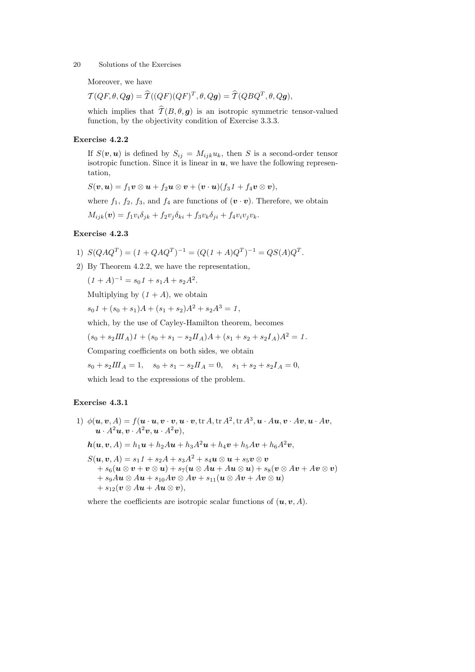Moreover, we have

$$
\mathcal{T}(QF,\theta,Qg) = \widehat{\mathcal{T}}((QF)(QF)^T,\theta,Qg) = \widehat{\mathcal{T}}(QBQ^T,\theta,Qg),
$$

which implies that  $\widehat{T}(B, \theta, \mathbf{q})$  is an isotropic symmetric tensor-valued function, by the objectivity condition of Exercise 3.3.3.

### Exercise 4.2.2

If  $S(v, u)$  is defined by  $S_{ij} = M_{ijk}u_k$ , then S is a second-order tensor isotropic function. Since it is linear in  $u$ , we have the following representation,

 $S(\boldsymbol{v},\boldsymbol{u}) = f_1\boldsymbol{v} \otimes \boldsymbol{u} + f_2\boldsymbol{u} \otimes \boldsymbol{v} + (\boldsymbol{v}\cdot\boldsymbol{u})(f_3\boldsymbol{\varLambda}) + f_4\boldsymbol{v} \otimes \boldsymbol{v}),$ 

where  $f_1$ ,  $f_2$ ,  $f_3$ , and  $f_4$  are functions of  $(\mathbf{v} \cdot \mathbf{v})$ . Therefore, we obtain

 $M_{ijk}(\mathbf{v}) = f_1 v_i \delta_{jk} + f_2 v_j \delta_{ki} + f_3 v_k \delta_{ji} + f_4 v_i v_j v_k.$ 

### Exercise 4.2.3

1) 
$$
S(QAQ^T) = (1 + QAQ^T)^{-1} = (Q(1 + A)Q^T)^{-1} = QS(A)Q^T.
$$

2) By Theorem 4.2.2, we have the representation,

$$
(1 + A)^{-1} = s_0 1 + s_1 A + s_2 A^2.
$$

Multiplying by  $(1 + A)$ , we obtain

 $s_01 + (s_0 + s_1)A + (s_1 + s_2)A^2 + s_2A^3 = 1$ 

which, by the use of Cayley-Hamilton theorem, becomes

 $(s_0 + s_2 III_A)1 + (s_0 + s_1 - s_2 II_A)A + (s_1 + s_2 + s_2 I_A)A^2 = 1$ .

Comparing coefficients on both sides, we obtain

 $s_0 + s_2 III_A = 1$ ,  $s_0 + s_1 - s_2 II_A = 0$ ,  $s_1 + s_2 + s_2 I_A = 0$ ,

which lead to the expressions of the problem.

#### Exercise 4.3.1

1)  $\phi(\boldsymbol{u},\boldsymbol{v},A) = f(\boldsymbol{u}\cdot\boldsymbol{u},\boldsymbol{v}\cdot\boldsymbol{v},\boldsymbol{u}\cdot\boldsymbol{v},\text{tr }A,\text{tr }A^2,\text{tr }A^3,\boldsymbol{u}\cdot A\boldsymbol{u},\boldsymbol{v}\cdot A\boldsymbol{v},\boldsymbol{u}\cdot A\boldsymbol{v},$  $\mathbf{u} \cdot A^2 \mathbf{u}, \mathbf{v} \cdot A^2 \mathbf{v}, \mathbf{u} \cdot A^2 \mathbf{v}$  $h(\mathbf{u}, \mathbf{v}, A) = h_1\mathbf{u} + h_2A\mathbf{u} + h_3A^2\mathbf{u} + h_4\mathbf{v} + h_5A\mathbf{v} + h_6A^2\mathbf{v},$  $S(u, v, A) = s_1 1 + s_2 A + s_3 A^2 + s_4 u \otimes u + s_5 v \otimes v$  $+ s_6(u\otimes v + v\otimes u) + s_7(u\otimes Au + Au\otimes u) + s_8(v\otimes Av + Av\otimes v)$  $+ s_9Au \otimes Au + s_{10}Av \otimes Av + s_{11}(u \otimes Av + Av \otimes u)$  $+ s_{12}(\boldsymbol{v} \otimes A\boldsymbol{u} + A\boldsymbol{u} \otimes \boldsymbol{v}),$ 

where the coefficients are isotropic scalar functions of  $(u, v, A)$ .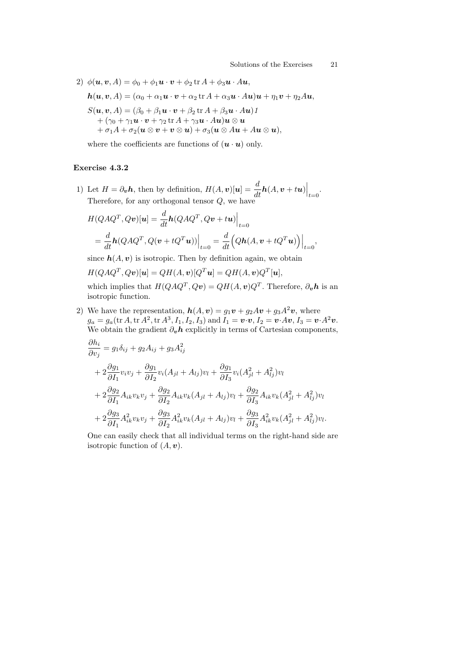2)  $\phi(\mathbf{u}, \mathbf{v}, A) = \phi_0 + \phi_1 \mathbf{u} \cdot \mathbf{v} + \phi_2 \operatorname{tr} A + \phi_3 \mathbf{u} \cdot A \mathbf{u},$  $h(\boldsymbol{u}, \boldsymbol{v}, A) = (\alpha_0 + \alpha_1 \boldsymbol{u} \cdot \boldsymbol{v} + \alpha_2 \operatorname{tr} A + \alpha_3 \boldsymbol{u} \cdot A \boldsymbol{u}) \boldsymbol{u} + \eta_1 \boldsymbol{v} + \eta_2 A \boldsymbol{u},$  $S(\mathbf{u}, \mathbf{v}, A) = (\beta_0 + \beta_1 \mathbf{u} \cdot \mathbf{v} + \beta_2 \operatorname{tr} A + \beta_3 \mathbf{u} \cdot A \mathbf{u})$  1  $+ \left( \gamma_0 + \gamma_1 \boldsymbol{u} \cdot \boldsymbol{v} + \gamma_2 \operatorname{tr} A + \gamma_3 \boldsymbol{u} \cdot A \boldsymbol{u} \right) \boldsymbol{u} \otimes \boldsymbol{u}$  $+ \sigma_1A + \sigma_2(\boldsymbol{u} \otimes \boldsymbol{v} + \boldsymbol{v} \otimes \boldsymbol{u}) + \sigma_3(\boldsymbol{u} \otimes A\boldsymbol{u} + A\boldsymbol{u} \otimes \boldsymbol{u}),$ 

where the coefficients are functions of  $(\boldsymbol{u} \cdot \boldsymbol{u})$  only.

#### Exercise 4.3.2

1) Let  $H = \partial_v \mathbf{h}$ , then by definition,  $H(A, v)[u] = \frac{d}{dt} h(A, v + tu)$  $\Big|_{t=0}$ . Therefore, for any orthogonal tensor Q, we have

$$
H(QAQ^T, Qv)[\mathbf{u}] = \frac{d}{dt}\mathbf{h}(QAQ^T, Qv + tu)\Big|_{t=0}
$$
  
= 
$$
\frac{d}{dt}\mathbf{h}(QAQ^T, Q(v + tQ^T\mathbf{u}))\Big|_{t=0} = \frac{d}{dt}\Big(Q\mathbf{h}(A, v + tQ^T\mathbf{u})\Big)\Big|_{t=0},
$$

since  $h(A, v)$  is isotropic. Then by definition again, we obtain

$$
H(QAQ^T, Qv)[\mathbf{u}] = QH(A, \mathbf{v})[Q^T\mathbf{u}] = QH(A, \mathbf{v})Q^T[\mathbf{u}],
$$

which implies that  $H(QAQ^T, Qv) = QH(A, v)Q^T$ . Therefore,  $\partial_v h$  is an isotropic function.

2) We have the representation,  $h(A, v) = q_1v + q_2Av + q_3A^2v$ , where  $g_a = g_a(\text{tr}\,A,\text{tr}\,A^2,\text{tr}\,A^3,I_1,I_2,I_3) \text{ and } I_1 = \boldsymbol{v}\!\cdot\!\boldsymbol{v}, I_2 = \boldsymbol{v}\!\cdot\!A\boldsymbol{v}, I_3 = \boldsymbol{v}\!\cdot\!A^2\boldsymbol{v}.$ We obtain the gradient  $\partial_{\boldsymbol{v}} \boldsymbol{h}$  explicitly in terms of Cartesian components,

$$
\frac{\partial h_i}{\partial v_j} = g_1 \delta_{ij} + g_2 A_{ij} + g_3 A_{ij}^2 \n+ 2 \frac{\partial g_1}{\partial I_1} v_i v_j + \frac{\partial g_1}{\partial I_2} v_i (A_{jl} + A_{lj}) v_l + \frac{\partial g_1}{\partial I_3} v_i (A_{jl}^2 + A_{lj}^2) v_l \n+ 2 \frac{\partial g_2}{\partial I_1} A_{ik} v_k v_j + \frac{\partial g_2}{\partial I_2} A_{ik} v_k (A_{jl} + A_{lj}) v_l + \frac{\partial g_2}{\partial I_3} A_{ik} v_k (A_{jl}^2 + A_{lj}^2) v_l \n+ 2 \frac{\partial g_3}{\partial I_1} A_{ik}^2 v_k v_j + \frac{\partial g_3}{\partial I_2} A_{ik}^2 v_k (A_{jl} + A_{lj}) v_l + \frac{\partial g_3}{\partial I_3} A_{ik}^2 v_k (A_{jl}^2 + A_{lj}^2) v_l.
$$

One can easily check that all individual terms on the right-hand side are isotropic function of  $(A, v)$ .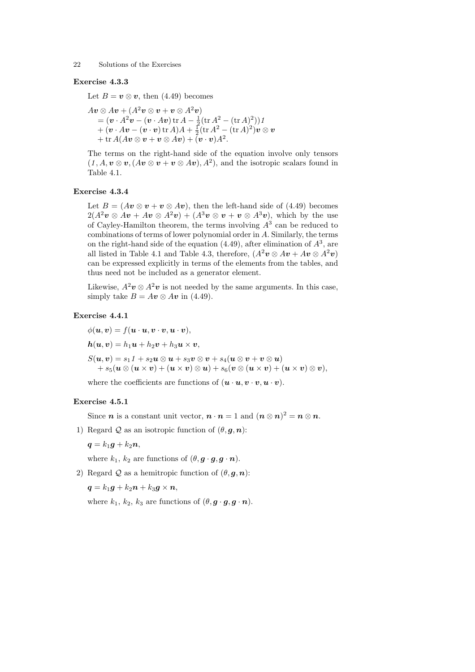#### Exercise 4.3.3

Let  $B = v \otimes v$ , then (4.49) becomes

$$
A\mathbf{v} \otimes A\mathbf{v} + (A^2 \mathbf{v} \otimes \mathbf{v} + \mathbf{v} \otimes A^2 \mathbf{v})
$$
  
=  $(\mathbf{v} \cdot A^2 \mathbf{v} - (\mathbf{v} \cdot A\mathbf{v}) \operatorname{tr} A - \frac{1}{2} (\operatorname{tr} A^2 - (\operatorname{tr} A)^2)) 1$   
+  $(\mathbf{v} \cdot A\mathbf{v} - (\mathbf{v} \cdot \mathbf{v}) \operatorname{tr} A) A + \frac{1}{2} (\operatorname{tr} A^2 - (\operatorname{tr} A)^2) \mathbf{v} \otimes \mathbf{v}$   
+  $\operatorname{tr} A(A\mathbf{v} \otimes \mathbf{v} + \mathbf{v} \otimes A\mathbf{v}) + (\mathbf{v} \cdot \mathbf{v}) A^2.$ 

The terms on the right-hand side of the equation involve only tensors  $(1, A, v \otimes v, (Av \otimes v + v \otimes Av), A^2)$ , and the isotropic scalars found in Table 4.1.

#### Exercise 4.3.4

Let  $B = (Av \otimes v + v \otimes Av)$ , then the left-hand side of (4.49) becomes  $2(A^2v \otimes Av + Av \otimes A^2v) + (A^3v \otimes v + v \otimes A^3v)$ , which by the use of Cayley-Hamilton theorem, the terms involving  $A<sup>3</sup>$  can be reduced to combinations of terms of lower polynomial order in A. Similarly, the terms on the right-hand side of the equation  $(4.49)$ , after elimination of  $A<sup>3</sup>$ , are all listed in Table 4.1 and Table 4.3, therefore,  $(A^2v \otimes Av + Av \otimes A^2v)$ can be expressed explicitly in terms of the elements from the tables, and thus need not be included as a generator element.

Likewise,  $A^2v \otimes A^2v$  is not needed by the same arguments. In this case, simply take  $B = Av \otimes Av$  in (4.49).

#### Exercise 4.4.1

$$
\phi(\mathbf{u}, \mathbf{v}) = f(\mathbf{u} \cdot \mathbf{u}, \mathbf{v} \cdot \mathbf{v}, \mathbf{u} \cdot \mathbf{v}),
$$
  
\n
$$
\mathbf{h}(\mathbf{u}, \mathbf{v}) = h_1 \mathbf{u} + h_2 \mathbf{v} + h_3 \mathbf{u} \times \mathbf{v},
$$
  
\n
$$
S(\mathbf{u}, \mathbf{v}) = s_1 \mathbf{1} + s_2 \mathbf{u} \otimes \mathbf{u} + s_3 \mathbf{v} \otimes \mathbf{v} + s_4 (\mathbf{u} \otimes \mathbf{v} + \mathbf{v} \otimes \mathbf{u}) + s_5 (\mathbf{u} \otimes (\mathbf{u} \times \mathbf{v}) + (\mathbf{u} \times \mathbf{v}) \otimes \mathbf{u}) + s_6 (\mathbf{v} \otimes (\mathbf{u} \times \mathbf{v}) + (\mathbf{u} \times \mathbf{v}) \otimes \mathbf{v}),
$$

where the coefficients are functions of  $(\boldsymbol{u} \cdot \boldsymbol{u}, \boldsymbol{v} \cdot \boldsymbol{v}, \boldsymbol{u} \cdot \boldsymbol{v})$ .

#### Exercise 4.5.1

Since *n* is a constant unit vector,  $n \cdot n = 1$  and  $(n \otimes n)^2 = n \otimes n$ .

1) Regard Q as an isotropic function of  $(\theta, \mathbf{g}, \mathbf{n})$ :

$$
\boldsymbol{q} = k_1 \boldsymbol{g} + k_2 \boldsymbol{n},
$$

where  $k_1, k_2$  are functions of  $(\theta, \mathbf{g} \cdot \mathbf{g}, \mathbf{g} \cdot \mathbf{n})$ .

2) Regard Q as a hemitropic function of  $(\theta, \mathbf{g}, \mathbf{n})$ :

$$
\boldsymbol{q} = k_1 \boldsymbol{g} + k_2 \boldsymbol{n} + k_3 \boldsymbol{g} \times \boldsymbol{n},
$$

where  $k_1, k_2, k_3$  are functions of  $(\theta, \mathbf{g} \cdot \mathbf{g}, \mathbf{g} \cdot \mathbf{n})$ .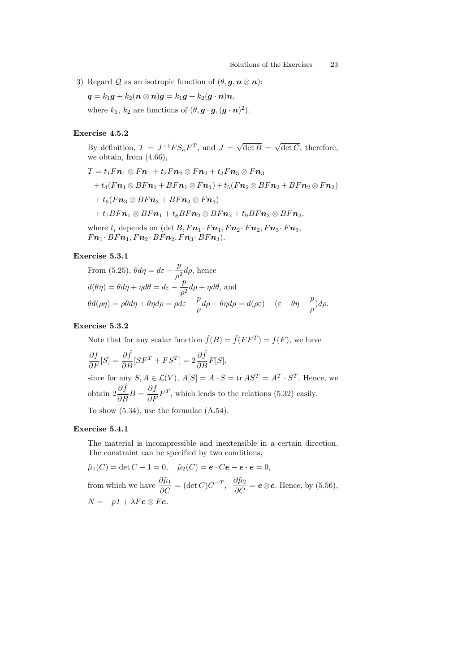3) Regard Q as an isotropic function of  $(\theta, \mathbf{g}, \mathbf{n} \otimes \mathbf{n})$ :

 $q = k_1g + k_2(n \otimes n)g = k_1g + k_2(g \cdot n)n,$ 

where  $k_1, k_2$  are functions of  $(\theta, \boldsymbol{g} \cdot \boldsymbol{g}, (\boldsymbol{g} \cdot \boldsymbol{n})^2)$ .

#### Exercise 4.5.2

By definition,  $T = J^{-1} F S_{\kappa} F^{T}$ , and  $J =$ √  $\det B =$ √  $\det C$ , therefore, we obtain, from (4.66),

$$
T = t_1Fn_1 \otimes Fn_1 + t_2Fn_2 \otimes Fn_2 + t_3Fn_3 \otimes Fn_3
$$
  
+ 
$$
t_4(Fn_1 \otimes BFn_1 + BFn_1 \otimes Fn_1) + t_5(Fn_2 \otimes BFn_2 + BFn_2 \otimes Fn_2)
$$
  
+ 
$$
t_6(Fn_3 \otimes BFn_3 + BFn_3 \otimes Fn_3)
$$
  
+ 
$$
t_7BFn_1 \otimes BFn_1 + t_8BFn_2 \otimes BFn_2 + t_9BFn_3 \otimes BFn_3,
$$
  
where  $t_i$  depends on (det B, Fn\_1 \cdot Fn\_1,Fn\_2 \cdot Fr\_2,Fn\_3 \cdot Fn\_3,  

$$
Fn_1 \cdot BFn_1,Fn_2 \cdot BFn_2,Fn_3 \cdot BFn_3).
$$

### Exercise 5.3.1

From (5.25), 
$$
\theta d\eta = d\varepsilon - \frac{p}{\rho^2} d\rho
$$
, hence  
\n
$$
d(\theta \eta) = \theta d\eta + \eta d\theta = d\varepsilon - \frac{p}{\rho^2} d\rho + \eta d\theta
$$
, and  
\n
$$
\theta d(\rho \eta) = \rho \theta d\eta + \theta \eta d\rho = \rho d\varepsilon - \frac{p}{\rho} d\rho + \theta \eta d\rho = d(\rho \varepsilon) - (\varepsilon - \theta \eta + \frac{p}{\rho}) d\rho.
$$

### Exercise 5.3.2

Note that for any scalar function  $\hat{f}(B) = \hat{f}(FF^T) = f(F)$ , we have  $\frac{\partial f}{\partial F}[S] = \frac{\partial \hat{f}}{\partial B}[SF^T + FS^T] = 2\frac{\partial \hat{f}}{\partial B}F[S],$ since for any  $S, A \in \mathcal{L}(V), A[S] = A \cdot S = \text{tr } AS^T = A^T \cdot S^T$ . Hence, we obtain  $2\frac{\partial \hat{f}}{\partial B}B = \frac{\partial f}{\partial F}F^T$ , which leads to the relations (5.32) easily. To show (5.34), use the formulae (A.54).

#### Exercise 5.4.1

The material is incompressible and inextensible in a certain direction. The constraint can be specified by two conditions,

$$
\tilde{\mu}_1(C) = \det C - 1 = 0, \quad \tilde{\mu}_2(C) = e \cdot Ce - e \cdot e = 0,
$$
  
from which we have  $\frac{\partial \tilde{\mu}_1}{\partial C} = (\det C)C^{-T}, \quad \frac{\partial \tilde{\mu}_2}{\partial C} = e \otimes e$ . Hence, by (5.56),  
 $N = -p1 + \lambda Fe \otimes Fe$ .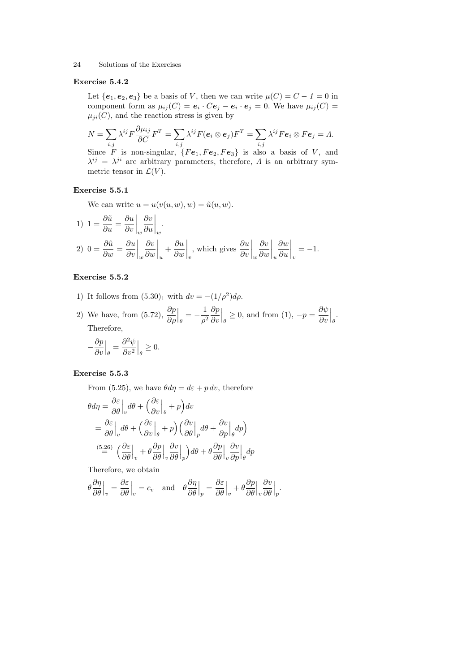#### Exercise 5.4.2

Let  ${e_1, e_2, e_3}$  be a basis of V, then we can write  $\mu(C) = C - 1 = 0$  in component form as  $\mu_{ij}(C) = e_i \cdot Ce_j - e_i \cdot e_j = 0$ . We have  $\mu_{ij}(C) =$  $\mu_{ji}(C)$ , and the reaction stress is given by

$$
N = \sum_{i,j} \lambda^{ij} F \frac{\partial \mu_{ij}}{\partial C} F^T = \sum_{i,j} \lambda^{ij} F(e_i \otimes e_j) F^T = \sum_{i,j} \lambda^{ij} F e_i \otimes F e_j = \Lambda.
$$

Since F is non-singular,  ${Fe<sub>1</sub>, Fe<sub>2</sub>, Fe<sub>3</sub>}$  is also a basis of V, and  $\lambda^{ij} = \lambda^{ji}$  are arbitrary parameters, therefore,  $\Lambda$  is an arbitrary symmetric tensor in  $\mathcal{L}(V)$ .

#### Exercise 5.5.1

We can write  $u = u(v(u, w), w) = \tilde{u}(u, w)$ .

1) 
$$
1 = \frac{\partial \tilde{u}}{\partial u} = \frac{\partial u}{\partial v}\Big|_{w} \frac{\partial v}{\partial u}\Big|_{w}.
$$
  
\n2)  $0 = \frac{\partial \tilde{u}}{\partial w} = \frac{\partial u}{\partial v}\Big|_{w} \frac{\partial v}{\partial w}\Big|_{u} + \frac{\partial u}{\partial w}\Big|_{v}, \text{ which gives } \frac{\partial u}{\partial v}\Big|_{w} \frac{\partial v}{\partial w}\Big|_{u} \frac{\partial w}{\partial w}\Big|_{v} = -1.$ 

### Exercise 5.5.2

1) It follows from  $(5.30)_1$  with  $dv = -(1/\rho^2)d\rho$ .

2) We have, from (5.72),  $\frac{\partial p}{\partial \rho}$  $\Big|_{\theta} = -\frac{1}{\rho^2}$  $\rho^2$ ∂p ∂v  $\Big|_{\theta} \geq 0$ , and from (1),  $-p = \frac{\partial \psi}{\partial v}$ ∂v  $\Big|_{\theta}$ . Therefore,

$$
-\frac{\partial p}{\partial v}\Big|_{\theta} = \frac{\partial^2 \psi}{\partial v^2}\Big|_{\theta} \ge 0.
$$

### Exercise 5.5.3

From (5.25), we have  $\theta d\eta = d\varepsilon + p dv$ , therefore

$$
\theta d\eta = \frac{\partial \varepsilon}{\partial \theta} \Big|_{v} d\theta + \Big( \frac{\partial \varepsilon}{\partial v} \Big|_{\theta} + p \Big) dv
$$
  
=  $\frac{\partial \varepsilon}{\partial \theta} \Big|_{v} d\theta + \Big( \frac{\partial \varepsilon}{\partial v} \Big|_{\theta} + p \Big) \Big( \frac{\partial v}{\partial \theta} \Big|_{p} d\theta + \frac{\partial v}{\partial p} \Big|_{\theta} dp \Big)$   
 $\Big( \frac{5.26}{2} \Big) \Big( \frac{\partial \varepsilon}{\partial \theta} \Big|_{v} + \theta \frac{\partial p}{\partial \theta} \Big|_{v} \frac{\partial v}{\partial \theta} \Big|_{p} \Big) d\theta + \theta \frac{\partial p}{\partial \theta} \Big|_{v} \frac{\partial v}{\partial p} \Big|_{\theta} dp$ 

Therefore, we obtain

$$
\theta \frac{\partial \eta}{\partial \theta}\Big|_{v} = \frac{\partial \varepsilon}{\partial \theta}\Big|_{v} = c_{v} \quad \text{and} \quad \theta \frac{\partial \eta}{\partial \theta}\Big|_{p} = \frac{\partial \varepsilon}{\partial \theta}\Big|_{v} + \theta \frac{\partial p}{\partial \theta}\Big|_{v} \frac{\partial v}{\partial \theta}\Big|_{p}.
$$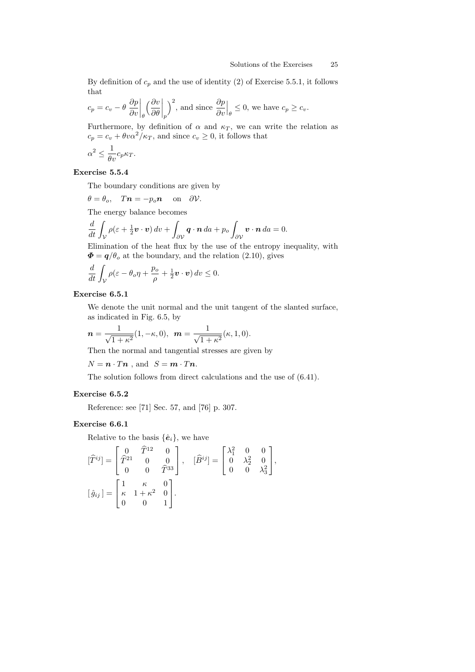By definition of  $c_p$  and the use of identity (2) of Exercise 5.5.1, it follows that  $\overline{a}$  $\overline{a}$ 

$$
c_p = c_v - \theta \left. \frac{\partial p}{\partial v} \right|_{\theta} \left( \frac{\partial v}{\partial \theta} \bigg|_p \right)^2
$$
, and since  $\frac{\partial p}{\partial v} \bigg|_{\theta} \leq 0$ , we have  $c_p \geq c_v$ .

Furthermore, by definition of  $\alpha$  and  $\kappa_T$ , we can write the relation as  $c_p = c_v + \theta v \alpha^2 / \kappa_T$ , and since  $c_v \geq 0$ , it follows that

$$
\alpha^2 \le \frac{1}{\theta v} c_p \kappa_T.
$$

### Exercise 5.5.4

The boundary conditions are given by

$$
\theta = \theta_o
$$
,  $Tn = -p_o n$  on  $\partial V$ .

The energy balance becomes

$$
\frac{d}{dt} \int_{\mathcal{V}} \rho(\varepsilon + \frac{1}{2} \boldsymbol{v} \cdot \boldsymbol{v}) \, dv + \int_{\partial \mathcal{V}} \boldsymbol{q} \cdot \boldsymbol{n} \, da + p_o \int_{\partial \mathcal{V}} \boldsymbol{v} \cdot \boldsymbol{n} \, da = 0.
$$

Elimination of the heat flux by the use of the entropy inequality, with  $\mathbf{\Phi} = \mathbf{q}/\theta_o$  at the boundary, and the relation (2.10), gives

$$
\frac{d}{dt}\int_{V}\rho(\varepsilon-\theta_o\eta+\frac{p_o}{\rho}+\frac{1}{2}\boldsymbol{v}\cdot\boldsymbol{v})\,dv\leq 0.
$$

# Exercise 6.5.1

We denote the unit normal and the unit tangent of the slanted surface, as indicated in Fig. 6.5, by

$$
\mathbf{n} = \frac{1}{\sqrt{1+\kappa^2}}(1,-\kappa,0), \ \ \mathbf{m} = \frac{1}{\sqrt{1+\kappa^2}}(\kappa,1,0).
$$

Then the normal and tangential stresses are given by

 $N = n \cdot T n$ , and  $S = m \cdot T n$ .

The solution follows from direct calculations and the use of (6.41).

#### Exercise 6.5.2

Reference: see [71] Sec. 57, and [76] p. 307.

### Exercise 6.6.1

Relative to the basis  $\{\hat{\mathbf{e}}_i\}$ , we have

$$
\begin{aligned}\n[\widehat{T}^{ij}] &= \begin{bmatrix} 0 & \widehat{T}^{12} & 0 \\ \widehat{T}^{21} & 0 & 0 \\ 0 & 0 & \widehat{T}^{33} \end{bmatrix}, \quad [\widehat{B}^{ij}] = \begin{bmatrix} \lambda_1^2 & 0 & 0 \\ 0 & \lambda_2^2 & 0 \\ 0 & 0 & \lambda_3^2 \end{bmatrix}, \\
[\widehat{g}_{ij}] &= \begin{bmatrix} 1 & \kappa & 0 \\ \kappa & 1 + \kappa^2 & 0 \\ 0 & 0 & 1 \end{bmatrix}.\n\end{aligned}
$$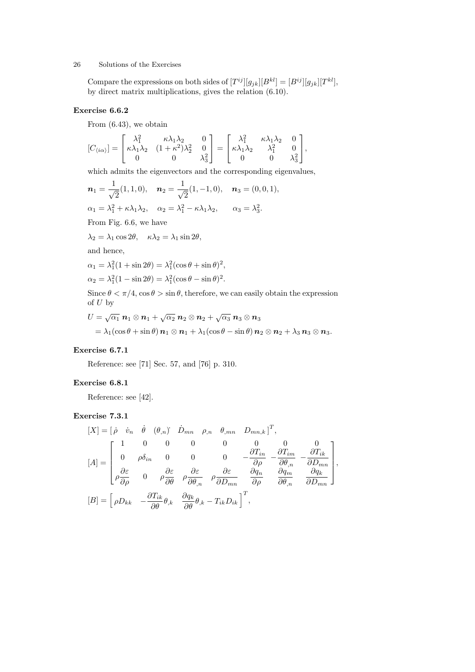Compare the expressions on both sides of  $[T^{ij}][g_{jk}][B^{kl}] = [B^{ij}][g_{jk}][T^{kl}],$ by direct matrix multiplications, gives the relation (6.10).

# Exercise 6.6.2

From (6.43), we obtain

$$
[C_{\langle i\alpha\rangle}]=\begin{bmatrix}\lambda_1^2&\kappa\lambda_1\lambda_2&0\\ \kappa\lambda_1\lambda_2&(1+\kappa^2)\lambda_2^2&0\\0&0&\lambda_3^2\end{bmatrix}=\begin{bmatrix}\lambda_1^2&\kappa\lambda_1\lambda_2&0\\ \kappa\lambda_1\lambda_2&\lambda_1^2&0\\0&0&\lambda_3^2\end{bmatrix},
$$

which admits the eigenvectors and the corresponding eigenvalues,

 $\overline{1}$ 

$$
\mathbf{n}_1 = \frac{1}{\sqrt{2}}(1, 1, 0), \quad \mathbf{n}_2 = \frac{1}{\sqrt{2}}(1, -1, 0), \quad \mathbf{n}_3 = (0, 0, 1),
$$
  
\n
$$
\alpha_1 = \lambda_1^2 + \kappa \lambda_1 \lambda_2, \quad \alpha_2 = \lambda_1^2 - \kappa \lambda_1 \lambda_2, \quad \alpha_3 = \lambda_3^2.
$$
  
\nFrom Fig. 6.6, we have  
\n
$$
\lambda_2 = \lambda_1 \cos 2\theta, \quad \kappa \lambda_2 = \lambda_1 \sin 2\theta,
$$
  
\nand hence,  
\n
$$
\alpha_1 = \lambda_1^2(1 + \sin 2\theta) = \lambda_1^2(\cos \theta + \sin \theta)^2,
$$
  
\n
$$
\alpha_2 = \lambda_1^2(1 - \sin 2\theta) = \lambda_1^2(\cos \theta - \sin \theta)^2.
$$
  
\nSince  $\theta < \pi/4$ ,  $\cos \theta > \sin \theta$ , therefore, we can easily obtain the expression  
\nof *U* by  
\n
$$
U = \sqrt{\alpha_1} \mathbf{n}_1 \otimes \mathbf{n}_1 + \sqrt{\alpha_2} \mathbf{n}_2 \otimes \mathbf{n}_2 + \sqrt{\alpha_3} \mathbf{n}_3 \otimes \mathbf{n}_3
$$

$$
= \lambda_1(\cos\theta + \sin\theta)\,\mathbf{n}_1\otimes\mathbf{n}_1 + \lambda_1(\cos\theta - \sin\theta)\,\mathbf{n}_2\otimes\mathbf{n}_2 + \lambda_3\,\mathbf{n}_3\otimes\mathbf{n}_3.
$$

### Exercise 6.7.1

Reference: see [71] Sec. 57, and [76] p. 310.

### Exercise 6.8.1

Reference: see [42].

# Exercise 7.3.1

$$
[X] = \begin{bmatrix} \dot{\rho} & \dot{v}_n & \dot{\theta} & (\theta_n) & \dot{D}_{mn} & \rho_{,n} & \theta_{,mn} & D_{mn,k} \end{bmatrix}^T,
$$
  
\n
$$
[A] = \begin{bmatrix} 1 & 0 & 0 & 0 & 0 & 0 & 0 & 0 \\ 0 & \rho \delta_{in} & 0 & 0 & 0 & -\frac{\partial T_{in}}{\partial \rho} & -\frac{\partial T_{in}}{\partial \theta_{,n}} & -\frac{\partial T_{ik}}{\partial D_{mn}} \\ \rho \frac{\partial \varepsilon}{\partial \rho} & 0 & \rho \frac{\partial \varepsilon}{\partial \theta} & \rho \frac{\partial \varepsilon}{\partial \theta_{,n}} & \rho \frac{\partial \varepsilon}{\partial D_{mn}} & \frac{\partial q_n}{\partial \rho} & \frac{\partial q_n}{\partial \theta_{,n}} & \frac{\partial q_k}{\partial D_{mn}} \end{bmatrix},
$$
  
\n
$$
[B] = \begin{bmatrix} \rho D_{kk} & -\frac{\partial T_{ik}}{\partial \theta} \theta_{,k} & \frac{\partial q_k}{\partial \theta} \theta_{,k} - T_{ik} D_{ik} \end{bmatrix}^T,
$$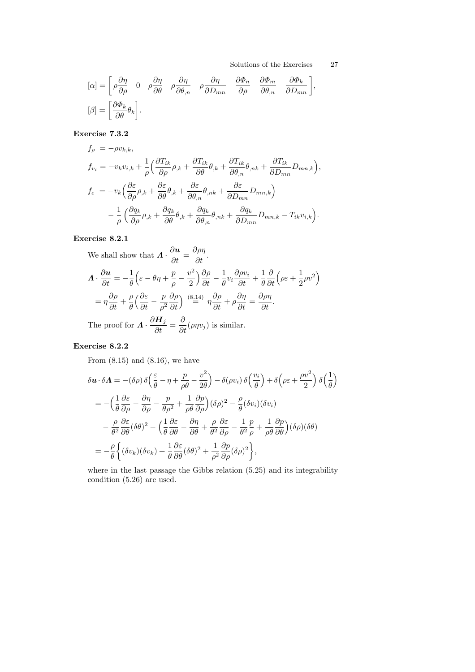$$
[\alpha] = \begin{bmatrix} \rho \frac{\partial \eta}{\partial \rho} & 0 & \rho \frac{\partial \eta}{\partial \theta} & \rho \frac{\partial \eta}{\partial \theta_n} & \rho \frac{\partial \eta}{\partial D_{mn}} & \frac{\partial \Phi_n}{\partial \rho} & \frac{\partial \Phi_m}{\partial \theta_n} & \frac{\partial \Phi_k}{\partial D_{mn}} \end{bmatrix},
$$
  

$$
[\beta] = \begin{bmatrix} \frac{\partial \Phi_k}{\partial \theta} \theta_k \end{bmatrix}.
$$

# Exercise 7.3.2

$$
f_{\rho} = -\rho v_{k,k},
$$
  
\n
$$
f_{v_i} = -v_k v_{i,k} + \frac{1}{\rho} \Big( \frac{\partial T_{ik}}{\partial \rho} \rho_{,k} + \frac{\partial T_{ik}}{\partial \theta} \theta_{,k} + \frac{\partial T_{ik}}{\partial \theta_{,n}} \theta_{,nk} + \frac{\partial T_{ik}}{\partial D_{mn}} D_{mn,k} \Big),
$$
  
\n
$$
f_{\varepsilon} = -v_k \Big( \frac{\partial \varepsilon}{\partial \rho} \rho_{,k} + \frac{\partial \varepsilon}{\partial \theta} \theta_{,k} + \frac{\partial \varepsilon}{\partial \theta_{,n}} \theta_{,nk} + \frac{\partial \varepsilon}{\partial D_{mn}} D_{mn,k} \Big)
$$
  
\n
$$
- \frac{1}{\rho} \Big( \frac{\partial q_k}{\partial \rho} \rho_{,k} + \frac{\partial q_k}{\partial \theta} \theta_{,k} + \frac{\partial q_k}{\partial \theta_{,n}} \theta_{,nk} + \frac{\partial q_k}{\partial D_{mn}} D_{mn,k} - T_{ik} v_{i,k} \Big).
$$

# Exercise 8.2.1

We shall show that 
$$
\mathbf{\Lambda} \cdot \frac{\partial \mathbf{u}}{\partial t} = \frac{\partial \rho \eta}{\partial t}
$$
.  
\n
$$
\mathbf{\Lambda} \cdot \frac{\partial \mathbf{u}}{\partial t} = -\frac{1}{\theta} \left( \varepsilon - \theta \eta + \frac{p}{\rho} - \frac{v^2}{2} \right) \frac{\partial \rho}{\partial t} - \frac{1}{\theta} v_i \frac{\partial \rho v_i}{\partial t} + \frac{1}{\theta} \frac{\partial}{\partial t} \left( \rho \varepsilon + \frac{1}{2} \rho v^2 \right)
$$
\n
$$
= \eta \frac{\partial \rho}{\partial t} + \frac{\rho}{\theta} \left( \frac{\partial \varepsilon}{\partial t} - \frac{p}{\rho^2} \frac{\partial \rho}{\partial t} \right) \stackrel{(8.14)}{=} \eta \frac{\partial \rho}{\partial t} + \rho \frac{\partial \eta}{\partial t} = \frac{\partial \rho \eta}{\partial t}.
$$
\nThe proof for  $\mathbf{\Lambda} \cdot \frac{\partial \mathbf{H}_j}{\partial t} = \frac{\partial}{\partial t} (\rho \eta v_j)$  is similar.

# Exercise 8.2.2

From (8.15) and (8.16), we have

$$
\delta \mathbf{u} \cdot \delta \mathbf{\Lambda} = -(\delta \rho) \delta \left( \frac{\varepsilon}{\theta} - \eta + \frac{p}{\rho \theta} - \frac{v^2}{2\theta} \right) - \delta (\rho v_i) \delta \left( \frac{v_i}{\theta} \right) + \delta \left( \rho \varepsilon + \frac{\rho v^2}{2} \right) \delta \left( \frac{1}{\theta} \right)
$$
  
= 
$$
- \left( \frac{1}{\theta} \frac{\partial \varepsilon}{\partial \rho} - \frac{\partial \eta}{\partial \rho} - \frac{p}{\theta \rho^2} + \frac{1}{\rho \theta} \frac{\partial p}{\partial \rho} \right) (\delta \rho)^2 - \frac{\rho}{\theta} (\delta v_i) (\delta v_i)
$$
  

$$
- \frac{\rho}{\theta^2} \frac{\partial \varepsilon}{\partial \theta} (\delta \theta)^2 - \left( \frac{1}{\theta} \frac{\partial \varepsilon}{\partial \theta} - \frac{\partial \eta}{\partial \theta} + \frac{\rho}{\theta^2} \frac{\partial \varepsilon}{\partial \rho} - \frac{1}{\theta^2} \frac{p}{\rho} + \frac{1}{\rho \theta} \frac{\partial p}{\partial \theta} \right) (\delta \rho) (\delta \theta)
$$
  
= 
$$
- \frac{\rho}{\theta} \left\{ (\delta v_k) (\delta v_k) + \frac{1}{\theta} \frac{\partial \varepsilon}{\partial \theta} (\delta \theta)^2 + \frac{1}{\rho^2} \frac{\partial p}{\partial \rho} (\delta \rho)^2 \right\},
$$

where in the last passage the Gibbs relation (5.25) and its integrability condition (5.26) are used.